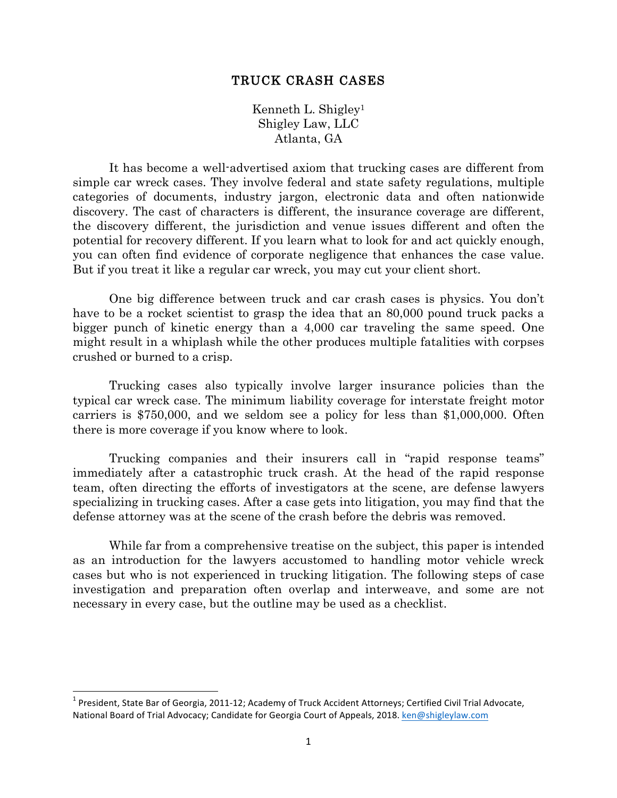#### TRUCK CRASH CASES

Kenneth L. Shigley1 Shigley Law, LLC Atlanta, GA

It has become a well-advertised axiom that trucking cases are different from simple car wreck cases. They involve federal and state safety regulations, multiple categories of documents, industry jargon, electronic data and often nationwide discovery. The cast of characters is different, the insurance coverage are different, the discovery different, the jurisdiction and venue issues different and often the potential for recovery different. If you learn what to look for and act quickly enough, you can often find evidence of corporate negligence that enhances the case value. But if you treat it like a regular car wreck, you may cut your client short.

One big difference between truck and car crash cases is physics. You don't have to be a rocket scientist to grasp the idea that an 80,000 pound truck packs a bigger punch of kinetic energy than a 4,000 car traveling the same speed. One might result in a whiplash while the other produces multiple fatalities with corpses crushed or burned to a crisp.

Trucking cases also typically involve larger insurance policies than the typical car wreck case. The minimum liability coverage for interstate freight motor carriers is \$750,000, and we seldom see a policy for less than \$1,000,000. Often there is more coverage if you know where to look.

Trucking companies and their insurers call in "rapid response teams" immediately after a catastrophic truck crash. At the head of the rapid response team, often directing the efforts of investigators at the scene, are defense lawyers specializing in trucking cases. After a case gets into litigation, you may find that the defense attorney was at the scene of the crash before the debris was removed.

While far from a comprehensive treatise on the subject, this paper is intended as an introduction for the lawyers accustomed to handling motor vehicle wreck cases but who is not experienced in trucking litigation. The following steps of case investigation and preparation often overlap and interweave, and some are not necessary in every case, but the outline may be used as a checklist.

 $1$  President, State Bar of Georgia, 2011-12; Academy of Truck Accident Attorneys; Certified Civil Trial Advocate, National Board of Trial Advocacy; Candidate for Georgia Court of Appeals, 2018. ken@shigleylaw.com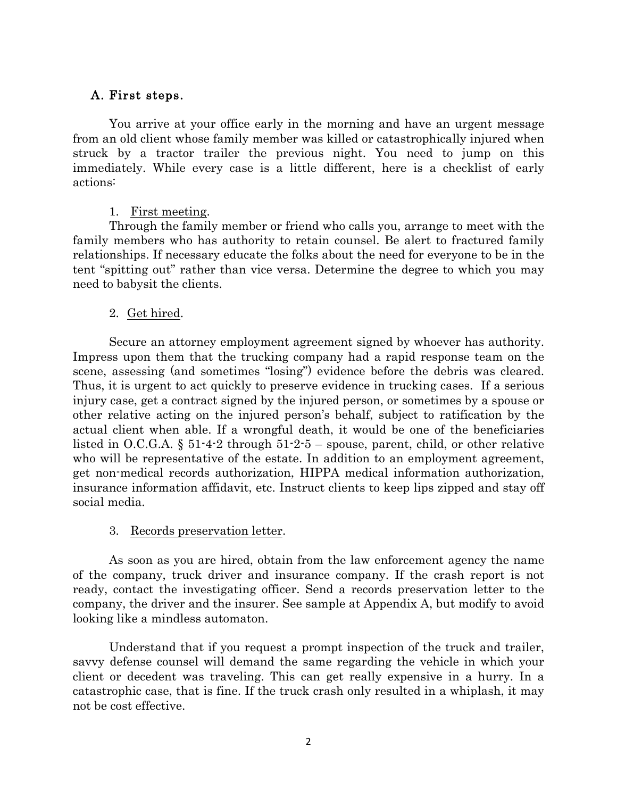### A. First steps.

You arrive at your office early in the morning and have an urgent message from an old client whose family member was killed or catastrophically injured when struck by a tractor trailer the previous night. You need to jump on this immediately. While every case is a little different, here is a checklist of early actions:

#### 1. First meeting.

Through the family member or friend who calls you, arrange to meet with the family members who has authority to retain counsel. Be alert to fractured family relationships. If necessary educate the folks about the need for everyone to be in the tent "spitting out" rather than vice versa. Determine the degree to which you may need to babysit the clients.

### 2. Get hired.

Secure an attorney employment agreement signed by whoever has authority. Impress upon them that the trucking company had a rapid response team on the scene, assessing (and sometimes "losing") evidence before the debris was cleared. Thus, it is urgent to act quickly to preserve evidence in trucking cases. If a serious injury case, get a contract signed by the injured person, or sometimes by a spouse or other relative acting on the injured person's behalf, subject to ratification by the actual client when able. If a wrongful death, it would be one of the beneficiaries listed in O.C.G.A. § 51-4-2 through 51-2-5 – spouse, parent, child, or other relative who will be representative of the estate. In addition to an employment agreement, get non-medical records authorization, HIPPA medical information authorization, insurance information affidavit, etc. Instruct clients to keep lips zipped and stay off social media.

#### 3. Records preservation letter.

As soon as you are hired, obtain from the law enforcement agency the name of the company, truck driver and insurance company. If the crash report is not ready, contact the investigating officer. Send a records preservation letter to the company, the driver and the insurer. See sample at Appendix A, but modify to avoid looking like a mindless automaton.

Understand that if you request a prompt inspection of the truck and trailer, savvy defense counsel will demand the same regarding the vehicle in which your client or decedent was traveling. This can get really expensive in a hurry. In a catastrophic case, that is fine. If the truck crash only resulted in a whiplash, it may not be cost effective.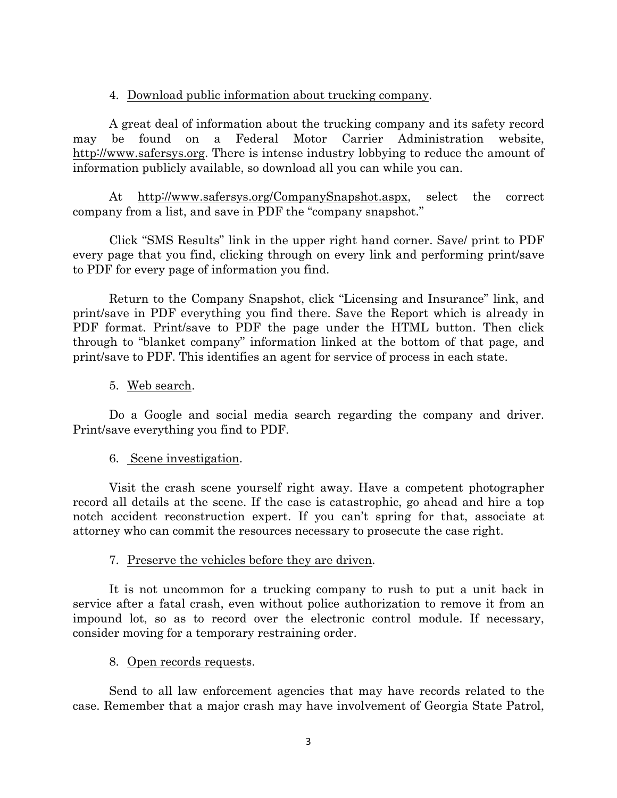#### 4. Download public information about trucking company.

A great deal of information about the trucking company and its safety record may be found on a Federal Motor Carrier Administration website, http://www.safersys.org. There is intense industry lobbying to reduce the amount of information publicly available, so download all you can while you can.

At http://www.safersys.org/CompanySnapshot.aspx, select the correct company from a list, and save in PDF the "company snapshot."

Click "SMS Results" link in the upper right hand corner. Save/ print to PDF every page that you find, clicking through on every link and performing print/save to PDF for every page of information you find.

Return to the Company Snapshot, click "Licensing and Insurance" link, and print/save in PDF everything you find there. Save the Report which is already in PDF format. Print/save to PDF the page under the HTML button. Then click through to "blanket company" information linked at the bottom of that page, and print/save to PDF. This identifies an agent for service of process in each state.

#### 5. Web search.

Do a Google and social media search regarding the company and driver. Print/save everything you find to PDF.

#### 6. Scene investigation.

Visit the crash scene yourself right away. Have a competent photographer record all details at the scene. If the case is catastrophic, go ahead and hire a top notch accident reconstruction expert. If you can't spring for that, associate at attorney who can commit the resources necessary to prosecute the case right.

#### 7. Preserve the vehicles before they are driven.

It is not uncommon for a trucking company to rush to put a unit back in service after a fatal crash, even without police authorization to remove it from an impound lot, so as to record over the electronic control module. If necessary, consider moving for a temporary restraining order.

#### 8. Open records requests.

Send to all law enforcement agencies that may have records related to the case. Remember that a major crash may have involvement of Georgia State Patrol,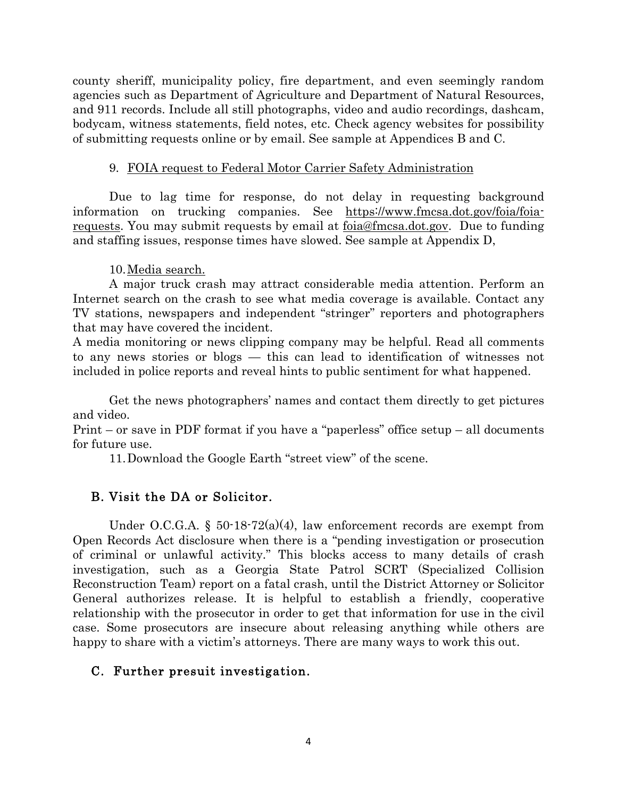county sheriff, municipality policy, fire department, and even seemingly random agencies such as Department of Agriculture and Department of Natural Resources, and 911 records. Include all still photographs, video and audio recordings, dashcam, bodycam, witness statements, field notes, etc. Check agency websites for possibility of submitting requests online or by email. See sample at Appendices B and C.

#### 9. FOIA request to Federal Motor Carrier Safety Administration

Due to lag time for response, do not delay in requesting background information on trucking companies. See https://www.fmcsa.dot.gov/foia/foiarequests. You may submit requests by email at foia@fmcsa.dot.gov. Due to funding and staffing issues, response times have slowed. See sample at Appendix D,

10.Media search.

A major truck crash may attract considerable media attention. Perform an Internet search on the crash to see what media coverage is available. Contact any TV stations, newspapers and independent "stringer" reporters and photographers that may have covered the incident.

A media monitoring or news clipping company may be helpful. Read all comments to any news stories or blogs — this can lead to identification of witnesses not included in police reports and reveal hints to public sentiment for what happened.

Get the news photographers' names and contact them directly to get pictures and video.

Print – or save in PDF format if you have a "paperless" office setup – all documents for future use.

11.Download the Google Earth "street view" of the scene.

### B. Visit the DA or Solicitor.

Under O.C.G.A.  $\S$  50-18-72(a)(4), law enforcement records are exempt from Open Records Act disclosure when there is a "pending investigation or prosecution of criminal or unlawful activity." This blocks access to many details of crash investigation, such as a Georgia State Patrol SCRT (Specialized Collision Reconstruction Team) report on a fatal crash, until the District Attorney or Solicitor General authorizes release. It is helpful to establish a friendly, cooperative relationship with the prosecutor in order to get that information for use in the civil case. Some prosecutors are insecure about releasing anything while others are happy to share with a victim's attorneys. There are many ways to work this out.

### C. Further presuit investigation.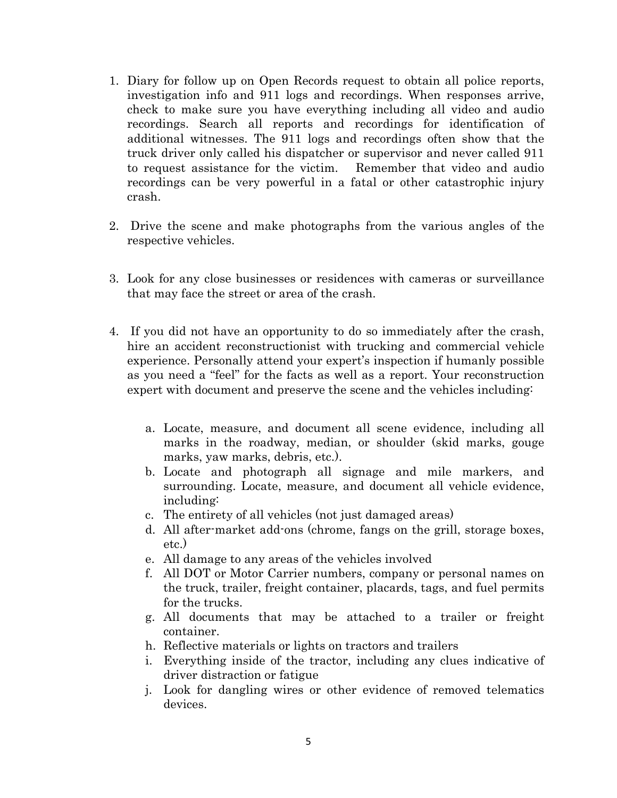- 1. Diary for follow up on Open Records request to obtain all police reports, investigation info and 911 logs and recordings. When responses arrive, check to make sure you have everything including all video and audio recordings. Search all reports and recordings for identification of additional witnesses. The 911 logs and recordings often show that the truck driver only called his dispatcher or supervisor and never called 911 to request assistance for the victim. Remember that video and audio recordings can be very powerful in a fatal or other catastrophic injury crash.
- 2. Drive the scene and make photographs from the various angles of the respective vehicles.
- 3. Look for any close businesses or residences with cameras or surveillance that may face the street or area of the crash.
- 4. If you did not have an opportunity to do so immediately after the crash, hire an accident reconstructionist with trucking and commercial vehicle experience. Personally attend your expert's inspection if humanly possible as you need a "feel" for the facts as well as a report. Your reconstruction expert with document and preserve the scene and the vehicles including:
	- a. Locate, measure, and document all scene evidence, including all marks in the roadway, median, or shoulder (skid marks, gouge marks, yaw marks, debris, etc.).
	- b. Locate and photograph all signage and mile markers, and surrounding. Locate, measure, and document all vehicle evidence, including:
	- c. The entirety of all vehicles (not just damaged areas)
	- d. All after-market add-ons (chrome, fangs on the grill, storage boxes, etc.)
	- e. All damage to any areas of the vehicles involved
	- f. All DOT or Motor Carrier numbers, company or personal names on the truck, trailer, freight container, placards, tags, and fuel permits for the trucks.
	- g. All documents that may be attached to a trailer or freight container.
	- h. Reflective materials or lights on tractors and trailers
	- i. Everything inside of the tractor, including any clues indicative of driver distraction or fatigue
	- j. Look for dangling wires or other evidence of removed telematics devices.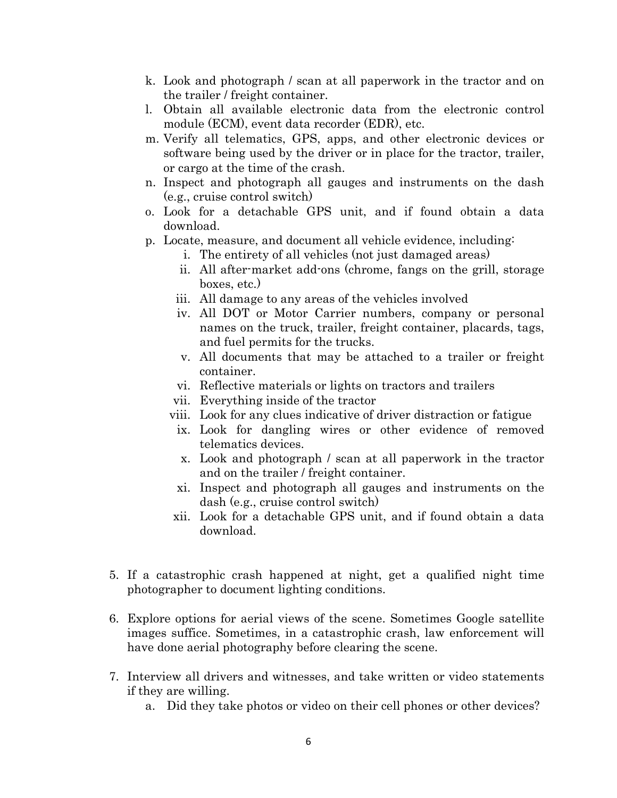- k. Look and photograph / scan at all paperwork in the tractor and on the trailer / freight container.
- l. Obtain all available electronic data from the electronic control module (ECM), event data recorder (EDR), etc.
- m. Verify all telematics, GPS, apps, and other electronic devices or software being used by the driver or in place for the tractor, trailer, or cargo at the time of the crash.
- n. Inspect and photograph all gauges and instruments on the dash (e.g., cruise control switch)
- o. Look for a detachable GPS unit, and if found obtain a data download.
- p. Locate, measure, and document all vehicle evidence, including:
	- i. The entirety of all vehicles (not just damaged areas)
	- ii. All after-market add-ons (chrome, fangs on the grill, storage boxes, etc.)
	- iii. All damage to any areas of the vehicles involved
	- iv. All DOT or Motor Carrier numbers, company or personal names on the truck, trailer, freight container, placards, tags, and fuel permits for the trucks.
	- v. All documents that may be attached to a trailer or freight container.
	- vi. Reflective materials or lights on tractors and trailers
	- vii. Everything inside of the tractor
	- viii. Look for any clues indicative of driver distraction or fatigue
	- ix. Look for dangling wires or other evidence of removed telematics devices.
	- x. Look and photograph / scan at all paperwork in the tractor and on the trailer / freight container.
	- xi. Inspect and photograph all gauges and instruments on the dash (e.g., cruise control switch)
	- xii. Look for a detachable GPS unit, and if found obtain a data download.
- 5. If a catastrophic crash happened at night, get a qualified night time photographer to document lighting conditions.
- 6. Explore options for aerial views of the scene. Sometimes Google satellite images suffice. Sometimes, in a catastrophic crash, law enforcement will have done aerial photography before clearing the scene.
- 7. Interview all drivers and witnesses, and take written or video statements if they are willing.
	- a. Did they take photos or video on their cell phones or other devices?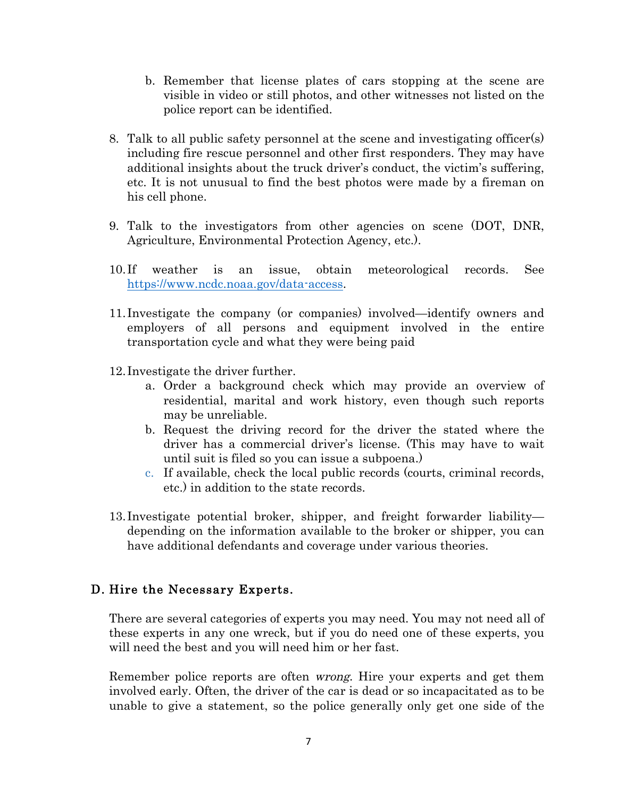- b. Remember that license plates of cars stopping at the scene are visible in video or still photos, and other witnesses not listed on the police report can be identified.
- 8. Talk to all public safety personnel at the scene and investigating officer(s) including fire rescue personnel and other first responders. They may have additional insights about the truck driver's conduct, the victim's suffering, etc. It is not unusual to find the best photos were made by a fireman on his cell phone.
- 9. Talk to the investigators from other agencies on scene (DOT, DNR, Agriculture, Environmental Protection Agency, etc.).
- 10. If weather is an issue, obtain meteorological records. See https://www.ncdc.noaa.gov/data-access.
- 11. Investigate the company (or companies) involved—identify owners and employers of all persons and equipment involved in the entire transportation cycle and what they were being paid
- 12. Investigate the driver further.
	- a. Order a background check which may provide an overview of residential, marital and work history, even though such reports may be unreliable.
	- b. Request the driving record for the driver the stated where the driver has a commercial driver's license. (This may have to wait until suit is filed so you can issue a subpoena.)
	- c. If available, check the local public records (courts, criminal records, etc.) in addition to the state records.
- 13. Investigate potential broker, shipper, and freight forwarder liability depending on the information available to the broker or shipper, you can have additional defendants and coverage under various theories.

# D. Hire the Necessary Experts.

There are several categories of experts you may need. You may not need all of these experts in any one wreck, but if you do need one of these experts, you will need the best and you will need him or her fast.

Remember police reports are often wrong. Hire your experts and get them involved early. Often, the driver of the car is dead or so incapacitated as to be unable to give a statement, so the police generally only get one side of the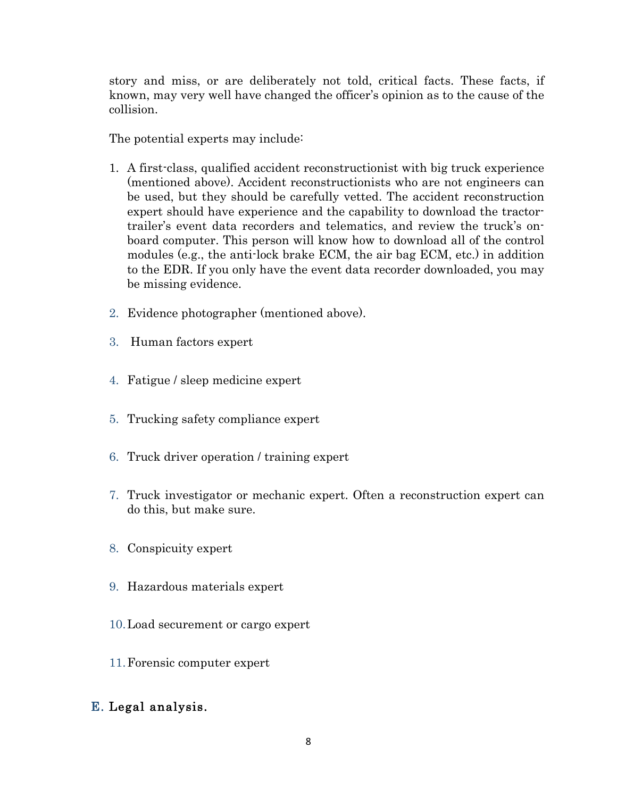story and miss, or are deliberately not told, critical facts. These facts, if known, may very well have changed the officer's opinion as to the cause of the collision.

The potential experts may include:

- 1. A first-class, qualified accident reconstructionist with big truck experience (mentioned above). Accident reconstructionists who are not engineers can be used, but they should be carefully vetted. The accident reconstruction expert should have experience and the capability to download the tractortrailer's event data recorders and telematics, and review the truck's onboard computer. This person will know how to download all of the control modules (e.g., the anti-lock brake ECM, the air bag ECM, etc.) in addition to the EDR. If you only have the event data recorder downloaded, you may be missing evidence.
- 2. Evidence photographer (mentioned above).
- 3. Human factors expert
- 4. Fatigue / sleep medicine expert
- 5. Trucking safety compliance expert
- 6. Truck driver operation / training expert
- 7. Truck investigator or mechanic expert. Often a reconstruction expert can do this, but make sure.
- 8. Conspicuity expert
- 9. Hazardous materials expert
- 10.Load securement or cargo expert
- 11.Forensic computer expert

# E. Legal analysis.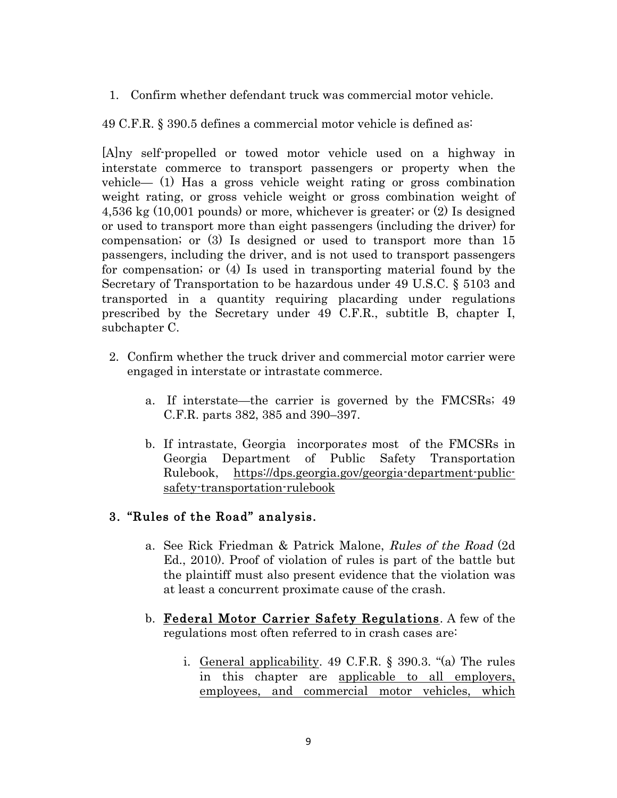1. Confirm whether defendant truck was commercial motor vehicle.

49 C.F.R. § 390.5 defines a commercial motor vehicle is defined as:

[A]ny self-propelled or towed motor vehicle used on a highway in interstate commerce to transport passengers or property when the vehicle— (1) Has a gross vehicle weight rating or gross combination weight rating, or gross vehicle weight or gross combination weight of 4,536 kg (10,001 pounds) or more, whichever is greater; or (2) Is designed or used to transport more than eight passengers (including the driver) for compensation; or (3) Is designed or used to transport more than 15 passengers, including the driver, and is not used to transport passengers for compensation; or (4) Is used in transporting material found by the Secretary of Transportation to be hazardous under 49 U.S.C. § 5103 and transported in a quantity requiring placarding under regulations prescribed by the Secretary under 49 C.F.R., subtitle B, chapter I, subchapter C.

- 2. Confirm whether the truck driver and commercial motor carrier were engaged in interstate or intrastate commerce.
	- a. If interstate—the carrier is governed by the FMCSRs; 49 C.F.R. parts 382, 385 and 390–397.
	- b. If intrastate, Georgia incorporate<sup>s</sup> most of the FMCSRs in Georgia Department of Public Safety Transportation Rulebook, https://dps.georgia.gov/georgia-department-publicsafety-transportation-rulebook

# 3. "Rules of the Road" analysis.

- a. See Rick Friedman & Patrick Malone, Rules of the Road (2d Ed., 2010). Proof of violation of rules is part of the battle but the plaintiff must also present evidence that the violation was at least a concurrent proximate cause of the crash.
- b. Federal Motor Carrier Safety Regulations. A few of the regulations most often referred to in crash cases are:
	- i. General applicability. 49 C.F.R. § 390.3. "(a) The rules in this chapter are applicable to all employers, employees, and commercial motor vehicles, which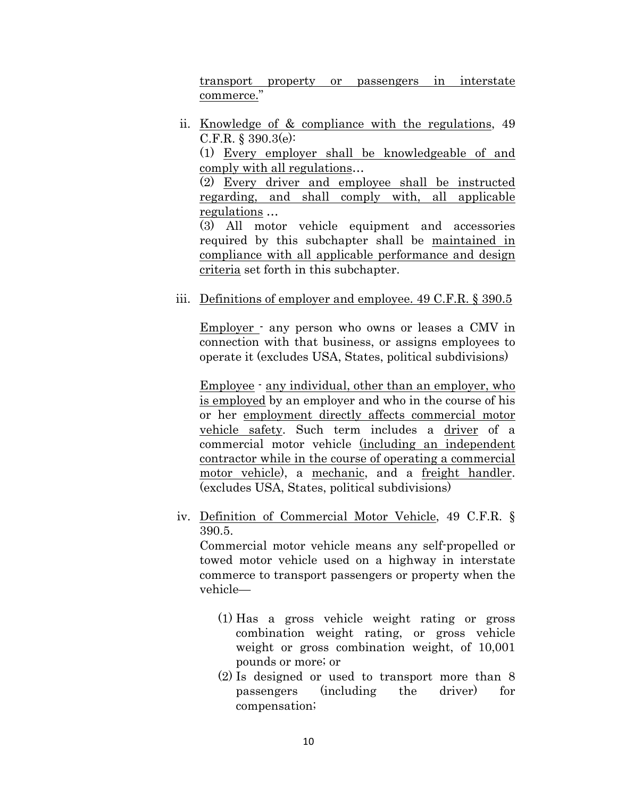transport property or passengers in interstate commerce."

ii. Knowledge of & compliance with the regulations, 49 C.F.R. § 390.3(e):

(1) Every employer shall be knowledgeable of and comply with all regulations…

(2) Every driver and employee shall be instructed regarding, and shall comply with, all applicable regulations …

(3) All motor vehicle equipment and accessories required by this subchapter shall be maintained in compliance with all applicable performance and design criteria set forth in this subchapter.

#### iii. Definitions of employer and employee. 49 C.F.R. § 390.5

Employer - any person who owns or leases a CMV in connection with that business, or assigns employees to operate it (excludes USA, States, political subdivisions)

Employee - any individual, other than an employer, who is employed by an employer and who in the course of his or her employment directly affects commercial motor vehicle safety. Such term includes a driver of a commercial motor vehicle (including an independent contractor while in the course of operating a commercial motor vehicle), a mechanic, and a freight handler. (excludes USA, States, political subdivisions)

iv. Definition of Commercial Motor Vehicle, 49 C.F.R. § 390.5.

Commercial motor vehicle means any self-propelled or towed motor vehicle used on a highway in interstate commerce to transport passengers or property when the vehicle—

- (1) Has a gross vehicle weight rating or gross combination weight rating, or gross vehicle weight or gross combination weight, of 10,001 pounds or more; or
- (2) Is designed or used to transport more than 8 passengers (including the driver) for compensation;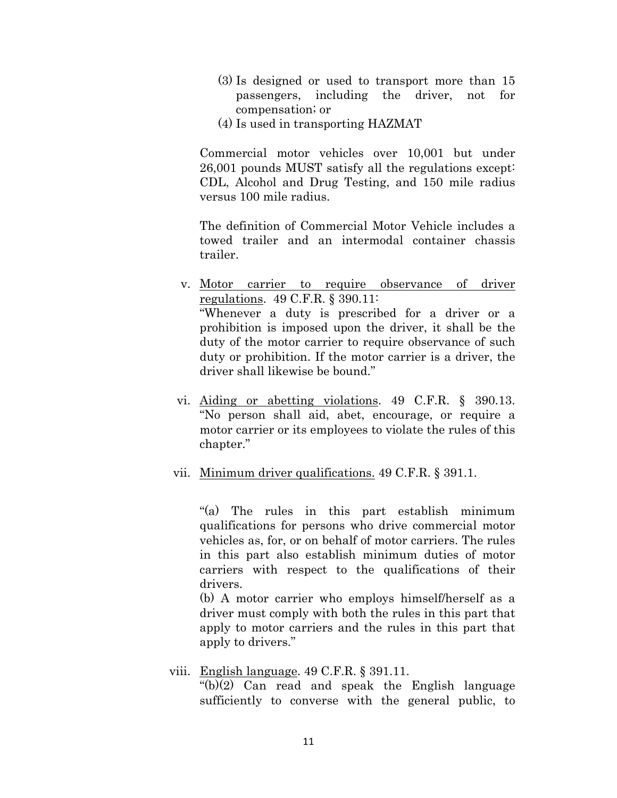- (3) Is designed or used to transport more than 15 passengers, including the driver, not for compensation; or
- (4) Is used in transporting HAZMAT

Commercial motor vehicles over 10,001 but under 26,001 pounds MUST satisfy all the regulations except: CDL, Alcohol and Drug Testing, and 150 mile radius versus 100 mile radius.

The definition of Commercial Motor Vehicle includes a towed trailer and an intermodal container chassis trailer.

- v. Motor carrier to require observance of driver regulations. 49 C.F.R. § 390.11: "Whenever a duty is prescribed for a driver or a prohibition is imposed upon the driver, it shall be the duty of the motor carrier to require observance of such duty or prohibition. If the motor carrier is a driver, the driver shall likewise be bound."
- vi. Aiding or abetting violations. 49 C.F.R. § 390.13. "No person shall aid, abet, encourage, or require a motor carrier or its employees to violate the rules of this chapter."
- vii. Minimum driver qualifications. 49 C.F.R. § 391.1.

"(a) The rules in this part establish minimum qualifications for persons who drive commercial motor vehicles as, for, or on behalf of motor carriers. The rules in this part also establish minimum duties of motor carriers with respect to the qualifications of their drivers.

(b) A motor carrier who employs himself/herself as a driver must comply with both the rules in this part that apply to motor carriers and the rules in this part that apply to drivers."

#### viii. English language. 49 C.F.R. § 391.11.

"(b)(2) Can read and speak the English language sufficiently to converse with the general public, to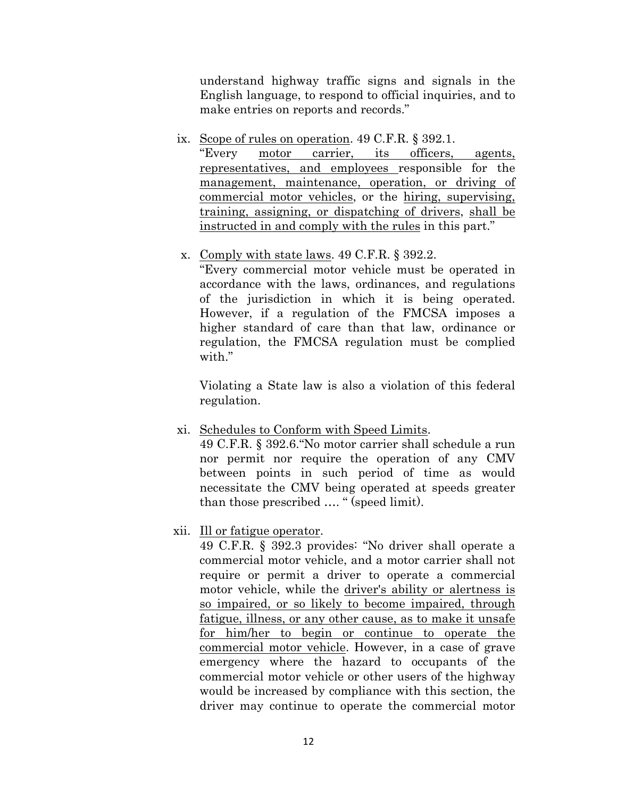understand highway traffic signs and signals in the English language, to respond to official inquiries, and to make entries on reports and records."

ix. Scope of rules on operation. 49 C.F.R. § 392.1.

"Every motor carrier, its officers, agents, representatives, and employees responsible for the management, maintenance, operation, or driving of commercial motor vehicles, or the hiring, supervising, training, assigning, or dispatching of drivers, shall be instructed in and comply with the rules in this part."

x. Comply with state laws. 49 C.F.R. § 392.2.

"Every commercial motor vehicle must be operated in accordance with the laws, ordinances, and regulations of the jurisdiction in which it is being operated. However, if a regulation of the FMCSA imposes a higher standard of care than that law, ordinance or regulation, the FMCSA regulation must be complied with"

Violating a State law is also a violation of this federal regulation.

xi. Schedules to Conform with Speed Limits.

49 C.F.R. § 392.6."No motor carrier shall schedule a run nor permit nor require the operation of any CMV between points in such period of time as would necessitate the CMV being operated at speeds greater than those prescribed …. " (speed limit).

xii. Ill or fatigue operator.

49 C.F.R. § 392.3 provides: "No driver shall operate a commercial motor vehicle, and a motor carrier shall not require or permit a driver to operate a commercial motor vehicle, while the driver's ability or alertness is so impaired, or so likely to become impaired, through fatigue, illness, or any other cause, as to make it unsafe for him/her to begin or continue to operate the commercial motor vehicle. However, in a case of grave emergency where the hazard to occupants of the commercial motor vehicle or other users of the highway would be increased by compliance with this section, the driver may continue to operate the commercial motor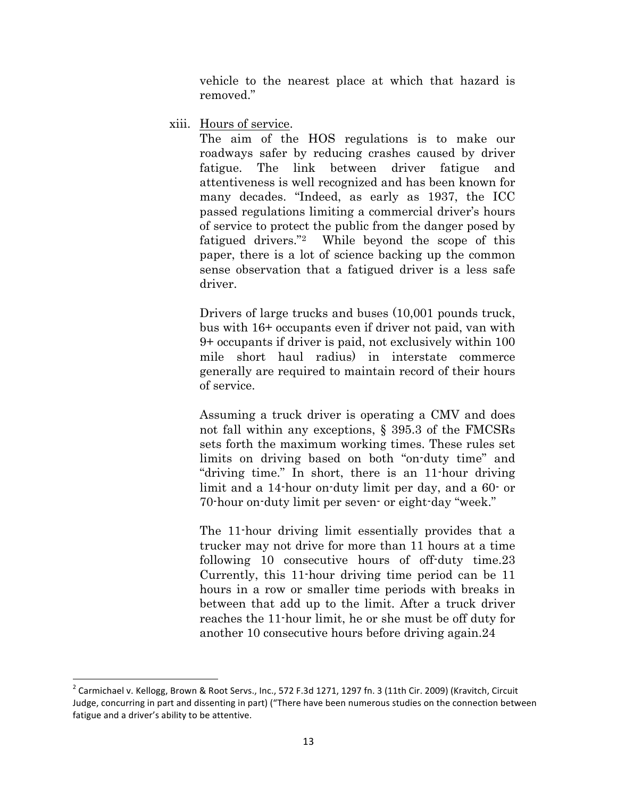vehicle to the nearest place at which that hazard is removed."

xiii. Hours of service.

The aim of the HOS regulations is to make our roadways safer by reducing crashes caused by driver fatigue. The link between driver fatigue and attentiveness is well recognized and has been known for many decades. "Indeed, as early as 1937, the ICC passed regulations limiting a commercial driver's hours of service to protect the public from the danger posed by fatigued drivers."2 While beyond the scope of this paper, there is a lot of science backing up the common sense observation that a fatigued driver is a less safe driver.

Drivers of large trucks and buses (10,001 pounds truck, bus with 16+ occupants even if driver not paid, van with 9+ occupants if driver is paid, not exclusively within 100 mile short haul radius) in interstate commerce generally are required to maintain record of their hours of service.

Assuming a truck driver is operating a CMV and does not fall within any exceptions, § 395.3 of the FMCSRs sets forth the maximum working times. These rules set limits on driving based on both "on-duty time" and "driving time." In short, there is an 11-hour driving limit and a 14-hour on-duty limit per day, and a 60- or 70-hour on-duty limit per seven- or eight-day "week."

The 11-hour driving limit essentially provides that a trucker may not drive for more than 11 hours at a time following 10 consecutive hours of off-duty time.23 Currently, this 11-hour driving time period can be 11 hours in a row or smaller time periods with breaks in between that add up to the limit. After a truck driver reaches the 11-hour limit, he or she must be off duty for another 10 consecutive hours before driving again.24

 $2$  Carmichael v. Kellogg, Brown & Root Servs., Inc., 572 F.3d 1271, 1297 fn. 3 (11th Cir. 2009) (Kravitch, Circuit Judge, concurring in part and dissenting in part) ("There have been numerous studies on the connection between fatigue and a driver's ability to be attentive.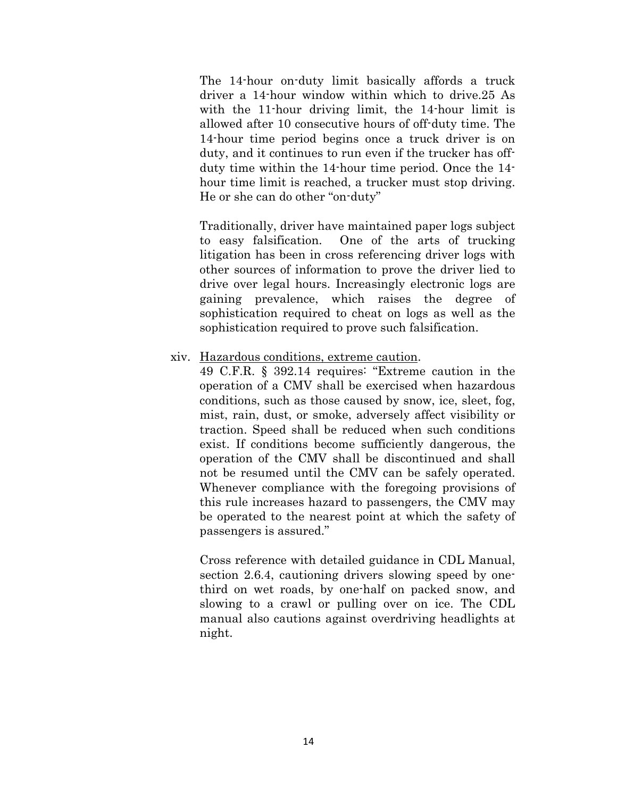The 14-hour on-duty limit basically affords a truck driver a 14-hour window within which to drive.25 As with the 11-hour driving limit, the 14-hour limit is allowed after 10 consecutive hours of off-duty time. The 14-hour time period begins once a truck driver is on duty, and it continues to run even if the trucker has offduty time within the 14-hour time period. Once the 14 hour time limit is reached, a trucker must stop driving. He or she can do other "on-duty"

Traditionally, driver have maintained paper logs subject to easy falsification. One of the arts of trucking litigation has been in cross referencing driver logs with other sources of information to prove the driver lied to drive over legal hours. Increasingly electronic logs are gaining prevalence, which raises the degree of sophistication required to cheat on logs as well as the sophistication required to prove such falsification.

#### xiv. Hazardous conditions, extreme caution.

49 C.F.R. § 392.14 requires: "Extreme caution in the operation of a CMV shall be exercised when hazardous conditions, such as those caused by snow, ice, sleet, fog, mist, rain, dust, or smoke, adversely affect visibility or traction. Speed shall be reduced when such conditions exist. If conditions become sufficiently dangerous, the operation of the CMV shall be discontinued and shall not be resumed until the CMV can be safely operated. Whenever compliance with the foregoing provisions of this rule increases hazard to passengers, the CMV may be operated to the nearest point at which the safety of passengers is assured."

Cross reference with detailed guidance in CDL Manual, section 2.6.4, cautioning drivers slowing speed by onethird on wet roads, by one-half on packed snow, and slowing to a crawl or pulling over on ice. The CDL manual also cautions against overdriving headlights at night.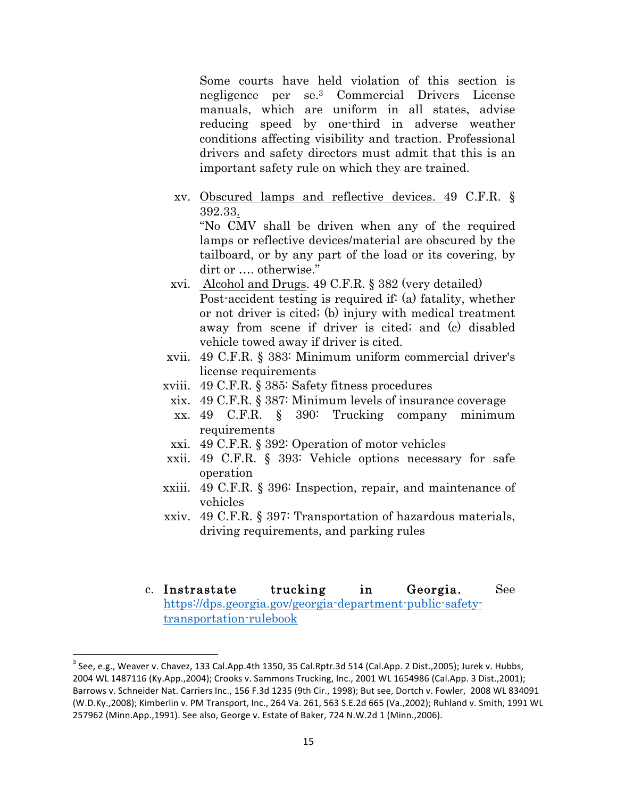Some courts have held violation of this section is negligence per se.3 Commercial Drivers License manuals, which are uniform in all states, advise reducing speed by one-third in adverse weather conditions affecting visibility and traction. Professional drivers and safety directors must admit that this is an important safety rule on which they are trained.

xv. Obscured lamps and reflective devices. 49 C.F.R. § 392.33.

"No CMV shall be driven when any of the required lamps or reflective devices/material are obscured by the tailboard, or by any part of the load or its covering, by dirt or …. otherwise."

- xvi. Alcohol and Drugs. 49 C.F.R. § 382 (very detailed) Post-accident testing is required if: (a) fatality, whether or not driver is cited; (b) injury with medical treatment away from scene if driver is cited; and (c) disabled vehicle towed away if driver is cited.
- xvii. 49 C.F.R. § 383: Minimum uniform commercial driver's license requirements
- xviii. 49 C.F.R. § 385: Safety fitness procedures
- xix. 49 C.F.R. § 387: Minimum levels of insurance coverage
- xx. 49 C.F.R. § 390: Trucking company minimum requirements
- xxi. 49 C.F.R. § 392: Operation of motor vehicles
- xxii. 49 C.F.R. § 393: Vehicle options necessary for safe operation
- xxiii. 49 C.F.R. § 396: Inspection, repair, and maintenance of vehicles
- xxiv. 49 C.F.R. § 397: Transportation of hazardous materials, driving requirements, and parking rules
- c. Instrastate trucking in Georgia. See https://dps.georgia.gov/georgia-department-public-safetytransportation-rulebook

 $3$  See, e.g., Weaver v. Chavez, 133 Cal.App.4th 1350, 35 Cal.Rptr.3d 514 (Cal.App. 2 Dist.,2005); Jurek v. Hubbs, 2004 WL 1487116 (Ky.App.,2004); Crooks v. Sammons Trucking, Inc., 2001 WL 1654986 (Cal.App. 3 Dist.,2001); Barrows v. Schneider Nat. Carriers Inc., 156 F.3d 1235 (9th Cir., 1998); But see, Dortch v. Fowler, 2008 WL 834091 (W.D.Ky.,2008); Kimberlin v. PM Transport, Inc., 264 Va. 261, 563 S.E.2d 665 (Va.,2002); Ruhland v. Smith, 1991 WL 257962 (Minn.App.,1991). See also, George v. Estate of Baker, 724 N.W.2d 1 (Minn.,2006).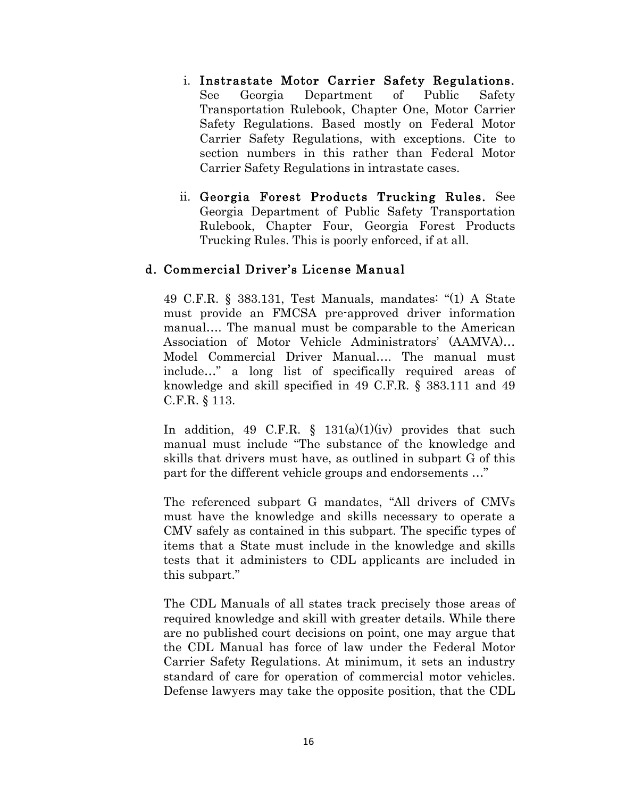- i. Instrastate Motor Carrier Safety Regulations. See Georgia Department of Public Safety Transportation Rulebook, Chapter One, Motor Carrier Safety Regulations. Based mostly on Federal Motor Carrier Safety Regulations, with exceptions. Cite to section numbers in this rather than Federal Motor Carrier Safety Regulations in intrastate cases.
- ii. Georgia Forest Products Trucking Rules. See Georgia Department of Public Safety Transportation Rulebook, Chapter Four, Georgia Forest Products Trucking Rules. This is poorly enforced, if at all.

#### d. Commercial Driver's License Manual

49 C.F.R. § 383.131, Test Manuals, mandates: "(1) A State must provide an FMCSA pre-approved driver information manual…. The manual must be comparable to the American Association of Motor Vehicle Administrators' (AAMVA)… Model Commercial Driver Manual…. The manual must include…" a long list of specifically required areas of knowledge and skill specified in 49 C.F.R. § 383.111 and 49 C.F.R. § 113.

In addition, 49 C.F.R.  $\S$  131(a)(1)(iv) provides that such manual must include "The substance of the knowledge and skills that drivers must have, as outlined in subpart G of this part for the different vehicle groups and endorsements ..."

The referenced subpart G mandates, "All drivers of CMVs must have the knowledge and skills necessary to operate a CMV safely as contained in this subpart. The specific types of items that a State must include in the knowledge and skills tests that it administers to CDL applicants are included in this subpart."

The CDL Manuals of all states track precisely those areas of required knowledge and skill with greater details. While there are no published court decisions on point, one may argue that the CDL Manual has force of law under the Federal Motor Carrier Safety Regulations. At minimum, it sets an industry standard of care for operation of commercial motor vehicles. Defense lawyers may take the opposite position, that the CDL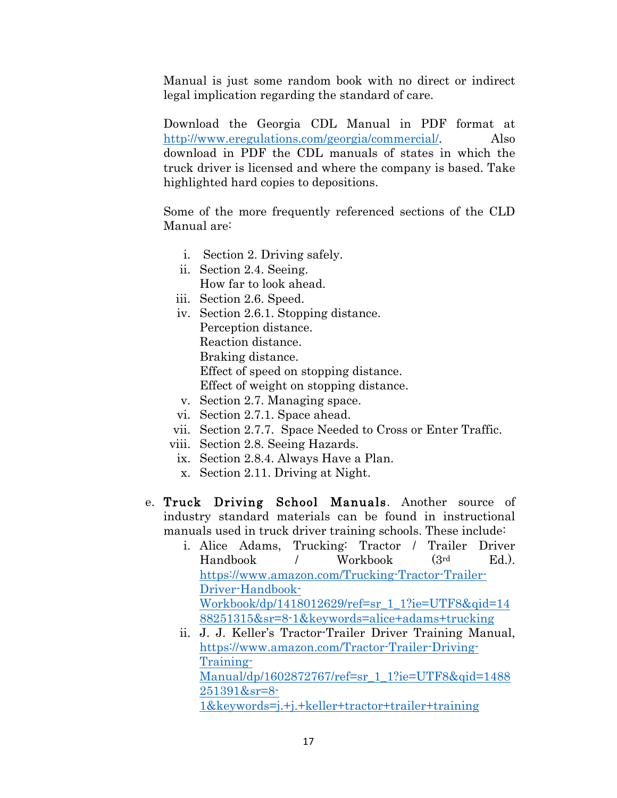Manual is just some random book with no direct or indirect legal implication regarding the standard of care.

Download the Georgia CDL Manual in PDF format at http://www.eregulations.com/georgia/commercial/. Also download in PDF the CDL manuals of states in which the truck driver is licensed and where the company is based. Take highlighted hard copies to depositions.

Some of the more frequently referenced sections of the CLD Manual are:

- i. Section 2. Driving safely.
- ii. Section 2.4. Seeing. How far to look ahead.
- iii. Section 2.6. Speed.
- iv. Section 2.6.1. Stopping distance. Perception distance. Reaction distance. Braking distance. Effect of speed on stopping distance.

Effect of weight on stopping distance.

- v. Section 2.7. Managing space.
- vi. Section 2.7.1. Space ahead.
- vii. Section 2.7.7. Space Needed to Cross or Enter Traffic.
- viii. Section 2.8. Seeing Hazards.
- ix. Section 2.8.4. Always Have a Plan.
- x. Section 2.11. Driving at Night.
- e. Truck Driving School Manuals. Another source of industry standard materials can be found in instructional manuals used in truck driver training schools. These include:
	- i. Alice Adams, Trucking: Tractor / Trailer Driver Handbook / Workbook (3rd Ed.). https://www.amazon.com/Trucking-Tractor-Trailer-Driver-Handbook-Workbook/dp/1418012629/ref=sr\_1\_1?ie=UTF8&qid=14 88251315&sr=8-1&keywords=alice+adams+trucking
	- ii. J. J. Keller's Tractor-Trailer Driver Training Manual, https://www.amazon.com/Tractor-Trailer-Driving-Training-Manual/dp/1602872767/ref=sr\_1\_1?ie=UTF8&qid=1488 251391&sr=8- 1&keywords=j.+j.+keller+tractor+trailer+training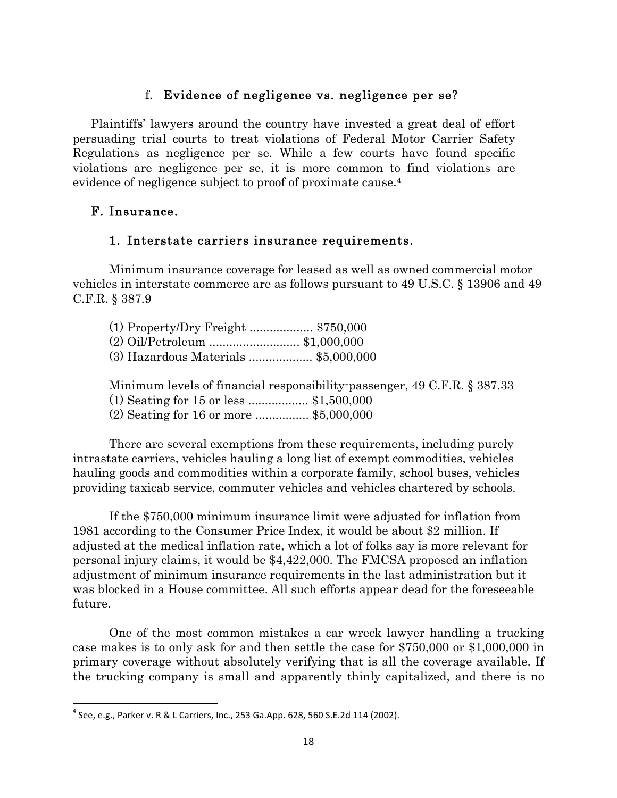### f. Evidence of negligence vs. negligence per se?

Plaintiffs' lawyers around the country have invested a great deal of effort persuading trial courts to treat violations of Federal Motor Carrier Safety Regulations as negligence per se. While a few courts have found specific violations are negligence per se, it is more common to find violations are evidence of negligence subject to proof of proximate cause.4

### F. Insurance.

### 1. Interstate carriers insurance requirements.

Minimum insurance coverage for leased as well as owned commercial motor vehicles in interstate commerce are as follows pursuant to 49 U.S.C. § 13906 and 49 C.F.R. § 387.9

| (1) Property/Dry Freight  \$750,000  |  |
|--------------------------------------|--|
| (2) Oil/Petroleum  \$1,000,000       |  |
| (3) Hazardous Materials  \$5,000,000 |  |

Minimum levels of financial responsibility-passenger, 49 C.F.R. § 387.33

(1) Seating for 15 or less .................. \$1,500,000

(2) Seating for 16 or more ................ \$5,000,000

There are several exemptions from these requirements, including purely intrastate carriers, vehicles hauling a long list of exempt commodities, vehicles hauling goods and commodities within a corporate family, school buses, vehicles providing taxicab service, commuter vehicles and vehicles chartered by schools.

If the \$750,000 minimum insurance limit were adjusted for inflation from 1981 according to the Consumer Price Index, it would be about \$2 million. If adjusted at the medical inflation rate, which a lot of folks say is more relevant for personal injury claims, it would be \$4,422,000. The FMCSA proposed an inflation adjustment of minimum insurance requirements in the last administration but it was blocked in a House committee. All such efforts appear dead for the foreseeable future.

One of the most common mistakes a car wreck lawyer handling a trucking case makes is to only ask for and then settle the case for \$750,000 or \$1,000,000 in primary coverage without absolutely verifying that is all the coverage available. If the trucking company is small and apparently thinly capitalized, and there is no

 $4$  See, e.g., Parker v. R & L Carriers, Inc., 253 Ga.App. 628, 560 S.E.2d 114 (2002).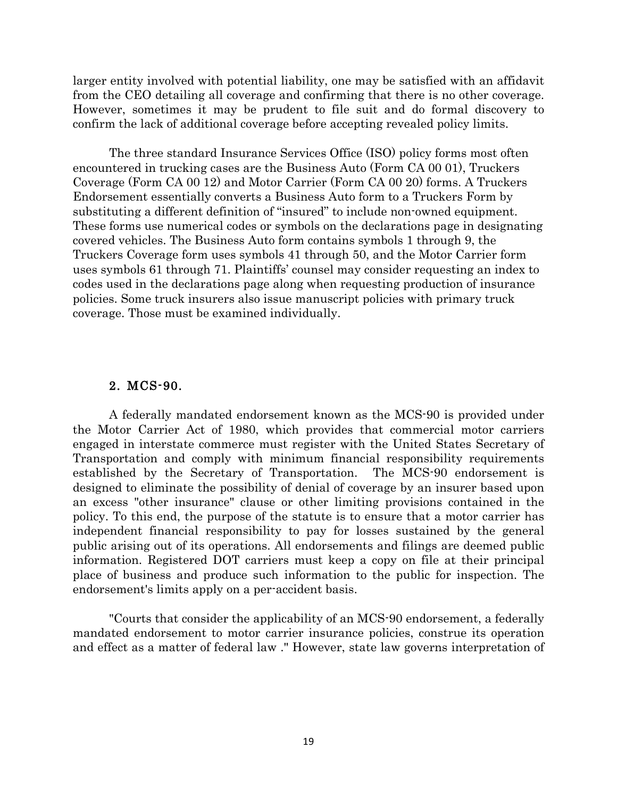larger entity involved with potential liability, one may be satisfied with an affidavit from the CEO detailing all coverage and confirming that there is no other coverage. However, sometimes it may be prudent to file suit and do formal discovery to confirm the lack of additional coverage before accepting revealed policy limits.

The three standard Insurance Services Office (ISO) policy forms most often encountered in trucking cases are the Business Auto (Form CA 00 01), Truckers Coverage (Form CA 00 12) and Motor Carrier (Form CA 00 20) forms. A Truckers Endorsement essentially converts a Business Auto form to a Truckers Form by substituting a different definition of "insured" to include non-owned equipment. These forms use numerical codes or symbols on the declarations page in designating covered vehicles. The Business Auto form contains symbols 1 through 9, the Truckers Coverage form uses symbols 41 through 50, and the Motor Carrier form uses symbols 61 through 71. Plaintiffs' counsel may consider requesting an index to codes used in the declarations page along when requesting production of insurance policies. Some truck insurers also issue manuscript policies with primary truck coverage. Those must be examined individually.

#### 2. MCS-90.

A federally mandated endorsement known as the MCS-90 is provided under the Motor Carrier Act of 1980, which provides that commercial motor carriers engaged in interstate commerce must register with the United States Secretary of Transportation and comply with minimum financial responsibility requirements established by the Secretary of Transportation. The MCS-90 endorsement is designed to eliminate the possibility of denial of coverage by an insurer based upon an excess "other insurance" clause or other limiting provisions contained in the policy. To this end, the purpose of the statute is to ensure that a motor carrier has independent financial responsibility to pay for losses sustained by the general public arising out of its operations. All endorsements and filings are deemed public information. Registered DOT carriers must keep a copy on file at their principal place of business and produce such information to the public for inspection. The endorsement's limits apply on a per-accident basis.

"Courts that consider the applicability of an MCS-90 endorsement, a federally mandated endorsement to motor carrier insurance policies, construe its operation and effect as a matter of federal law ." However, state law governs interpretation of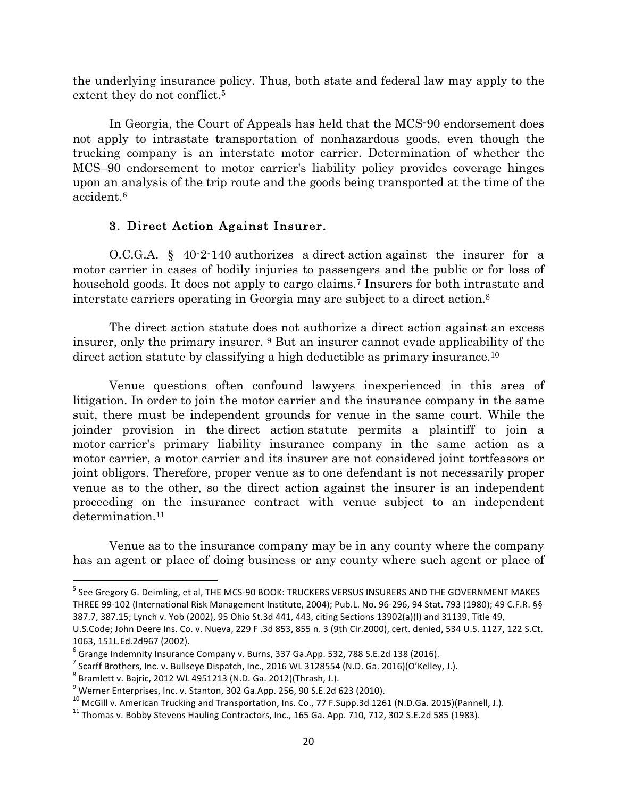the underlying insurance policy. Thus, both state and federal law may apply to the extent they do not conflict.<sup>5</sup>

In Georgia, the Court of Appeals has held that the MCS-90 endorsement does not apply to intrastate transportation of nonhazardous goods, even though the trucking company is an interstate motor carrier. Determination of whether the MCS–90 endorsement to motor carrier's liability policy provides coverage hinges upon an analysis of the trip route and the goods being transported at the time of the accident.6

### 3. Direct Action Against Insurer.

O.C.G.A. § 40-2-140 authorizes a direct action against the insurer for a motor carrier in cases of bodily injuries to passengers and the public or for loss of household goods. It does not apply to cargo claims.<sup>7</sup> Insurers for both intrastate and interstate carriers operating in Georgia may are subject to a direct action.8

The direct action statute does not authorize a direct action against an excess insurer, only the primary insurer. 9 But an insurer cannot evade applicability of the direct action statute by classifying a high deductible as primary insurance.10

Venue questions often confound lawyers inexperienced in this area of litigation. In order to join the motor carrier and the insurance company in the same suit, there must be independent grounds for venue in the same court. While the joinder provision in the direct action statute permits a plaintiff to join a motor carrier's primary liability insurance company in the same action as a motor carrier, a motor carrier and its insurer are not considered joint tortfeasors or joint obligors. Therefore, proper venue as to one defendant is not necessarily proper venue as to the other, so the direct action against the insurer is an independent proceeding on the insurance contract with venue subject to an independent determination.<sup>11</sup>

Venue as to the insurance company may be in any county where the company has an agent or place of doing business or any county where such agent or place of

<sup>&</sup>lt;sup>5</sup> See Gregory G. Deimling, et al, THE MCS-90 BOOK: TRUCKERS VERSUS INSURERS AND THE GOVERNMENT MAKES THREE 99-102 (International Risk Management Institute, 2004); Pub.L. No. 96-296, 94 Stat. 793 (1980); 49 C.F.R. §§ 387.7, 387.15; Lynch v. Yob (2002), 95 Ohio St.3d 441, 443, citing Sections 13902(a)(l) and 31139, Title 49,

U.S.Code; John Deere Ins. Co. v. Nueva, 229 F.3d 853, 855 n. 3 (9th Cir.2000), cert. denied, 534 U.S. 1127, 122 S.Ct. 1063, 151L.Ed.2d967 (2002).

 $6$  Grange Indemnity Insurance Company v. Burns, 337 Ga.App. 532, 788 S.E.2d 138 (2016).

 $^7$  Scarff Brothers, Inc. v. Bullseye Dispatch, Inc., 2016 WL 3128554 (N.D. Ga. 2016)(O'Kelley, J.).

 $8$  Bramlett v. Bajric, 2012 WL 4951213 (N.D. Ga. 2012)(Thrash, J.).

 $9$  Werner Enterprises, Inc. v. Stanton, 302 Ga.App. 256, 90 S.E.2d 623 (2010).

<sup>&</sup>lt;sup>10</sup> McGill v. American Trucking and Transportation, Ins. Co., 77 F.Supp.3d 1261 (N.D.Ga. 2015)(Pannell, J.).  $11$  Thomas v. Bobby Stevens Hauling Contractors, Inc., 165 Ga. App. 710, 712, 302 S.E.2d 585 (1983).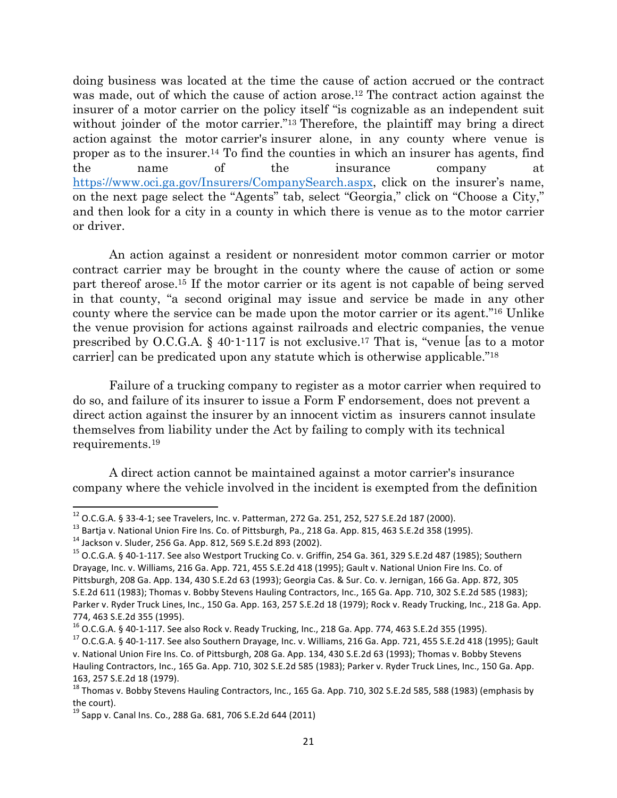doing business was located at the time the cause of action accrued or the contract was made, out of which the cause of action arose.<sup>12</sup> The contract action against the insurer of a motor carrier on the policy itself "is cognizable as an independent suit without joinder of the motor carrier."<sup>13</sup> Therefore, the plaintiff may bring a direct action against the motor carrier's insurer alone, in any county where venue is proper as to the insurer.14 To find the counties in which an insurer has agents, find the name of the insurance company at https://www.oci.ga.gov/Insurers/CompanySearch.aspx, click on the insurer's name, on the next page select the "Agents" tab, select "Georgia," click on "Choose a City," and then look for a city in a county in which there is venue as to the motor carrier or driver.

An action against a resident or nonresident motor common carrier or motor contract carrier may be brought in the county where the cause of action or some part thereof arose.15 If the motor carrier or its agent is not capable of being served in that county, "a second original may issue and service be made in any other county where the service can be made upon the motor carrier or its agent."16 Unlike the venue provision for actions against railroads and electric companies, the venue prescribed by O.C.G.A. § 40-1-117 is not exclusive.17 That is, "venue [as to a motor carrier] can be predicated upon any statute which is otherwise applicable."18

Failure of a trucking company to register as a motor carrier when required to do so, and failure of its insurer to issue a Form F endorsement, does not prevent a direct action against the insurer by an innocent victim as insurers cannot insulate themselves from liability under the Act by failing to comply with its technical requirements.19

A direct action cannot be maintained against a motor carrier's insurance company where the vehicle involved in the incident is exempted from the definition

<sup>&</sup>lt;sup>12</sup> O.C.G.A. § 33-4-1; see Travelers, Inc. v. Patterman, 272 Ga. 251, 252, 527 S.E.2d 187 (2000).<br><sup>13</sup> Bartja v. National Union Fire Ins. Co. of Pittsburgh, Pa., 218 Ga. App. 815, 463 S.E.2d 358 (1995).<br><sup>14</sup> Jackson v. S Drayage, Inc. v. Williams, 216 Ga. App. 721, 455 S.E.2d 418 (1995); Gault v. National Union Fire Ins. Co. of Pittsburgh, 208 Ga. App. 134, 430 S.E.2d 63 (1993); Georgia Cas. & Sur. Co. v. Jernigan, 166 Ga. App. 872, 305 S.E.2d 611 (1983); Thomas v. Bobby Stevens Hauling Contractors, Inc., 165 Ga. App. 710, 302 S.E.2d 585 (1983); Parker v. Ryder Truck Lines, Inc., 150 Ga. App. 163, 257 S.E.2d 18 (1979); Rock v. Ready Trucking, Inc., 218 Ga. App.

<sup>774, 463</sup> S.E.2d 355 (1995).<br><sup>16</sup> O.C.G.A. § 40-1-117. See also Rock v. Ready Trucking, Inc., 218 Ga. App. 774, 463 S.E.2d 355 (1995).

 $17$  O.C.G.A. § 40-1-117. See also Southern Drayage, Inc. v. Williams, 216 Ga. App. 721, 455 S.E.2d 418 (1995); Gault v. National Union Fire Ins. Co. of Pittsburgh, 208 Ga. App. 134, 430 S.E.2d 63 (1993); Thomas v. Bobby Stevens Hauling Contractors, Inc., 165 Ga. App. 710, 302 S.E.2d 585 (1983); Parker v. Ryder Truck Lines, Inc., 150 Ga. App. 163, 257 S.E.2d 18 (1979).

 $^{18}$  Thomas v. Bobby Stevens Hauling Contractors, Inc., 165 Ga. App. 710, 302 S.E.2d 585, 588 (1983) (emphasis by the court).

 $^{19}$  Sapp v. Canal Ins. Co., 288 Ga. 681, 706 S.E.2d 644 (2011)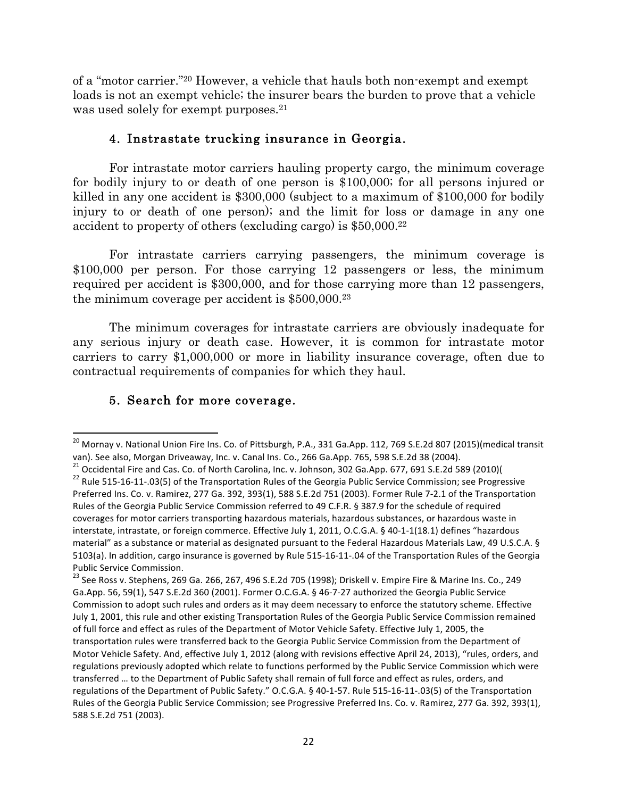of a "motor carrier."20 However, a vehicle that hauls both non-exempt and exempt loads is not an exempt vehicle; the insurer bears the burden to prove that a vehicle was used solely for exempt purposes.<sup>21</sup>

#### 4. Instrastate trucking insurance in Georgia.

For intrastate motor carriers hauling property cargo, the minimum coverage for bodily injury to or death of one person is \$100,000; for all persons injured or killed in any one accident is \$300,000 (subject to a maximum of \$100,000 for bodily injury to or death of one person); and the limit for loss or damage in any one accident to property of others (excluding cargo) is \$50,000.22

For intrastate carriers carrying passengers, the minimum coverage is \$100,000 per person. For those carrying 12 passengers or less, the minimum required per accident is \$300,000, and for those carrying more than 12 passengers, the minimum coverage per accident is \$500,000.23

The minimum coverages for intrastate carriers are obviously inadequate for any serious injury or death case. However, it is common for intrastate motor carriers to carry \$1,000,000 or more in liability insurance coverage, often due to contractual requirements of companies for which they haul.

#### 5. Search for more coverage.

<sup>&</sup>lt;sup>20</sup> Mornay v. National Union Fire Ins. Co. of Pittsburgh, P.A., 331 Ga.App. 112, 769 S.E.2d 807 (2015)(medical transit van). See also, Morgan Driveaway, Inc. v. Canal Ins. Co., 266 Ga.App. 765, 598 S.E.2d 38 (2004).

<sup>&</sup>lt;sup>21</sup> Occidental Fire and Cas. Co. of North Carolina, Inc. v. Johnson, 302 Ga.App. 677, 691 S.E.2d 589 (2010)(  $^{22}$  Rule 515-16-11-.03(5) of the Transportation Rules of the Georgia Public Service Commission; see Progress Preferred Ins. Co. v. Ramirez, 277 Ga. 392, 393(1), 588 S.E.2d 751 (2003). Former Rule 7-2.1 of the Transportation Rules of the Georgia Public Service Commission referred to 49 C.F.R. § 387.9 for the schedule of required coverages for motor carriers transporting hazardous materials, hazardous substances, or hazardous waste in interstate, intrastate, or foreign commerce. Effective July 1, 2011, O.C.G.A. § 40-1-1(18.1) defines "hazardous material" as a substance or material as designated pursuant to the Federal Hazardous Materials Law, 49 U.S.C.A. § 5103(a). In addition, cargo insurance is governed by Rule 515-16-11-.04 of the Transportation Rules of the Georgia Public Service Commission.

 $^{23}$  See Ross v. Stephens, 269 Ga. 266, 267, 496 S.E.2d 705 (1998); Driskell v. Empire Fire & Marine Ins. Co., 249 Ga.App. 56, 59(1), 547 S.E.2d 360 (2001). Former O.C.G.A. § 46-7-27 authorized the Georgia Public Service Commission to adopt such rules and orders as it may deem necessary to enforce the statutory scheme. Effective July 1, 2001, this rule and other existing Transportation Rules of the Georgia Public Service Commission remained of full force and effect as rules of the Department of Motor Vehicle Safety. Effective July 1, 2005, the transportation rules were transferred back to the Georgia Public Service Commission from the Department of Motor Vehicle Safety. And, effective July 1, 2012 (along with revisions effective April 24, 2013), "rules, orders, and regulations previously adopted which relate to functions performed by the Public Service Commission which were transferred ... to the Department of Public Safety shall remain of full force and effect as rules, orders, and regulations of the Department of Public Safety." O.C.G.A. § 40-1-57. Rule 515-16-11-.03(5) of the Transportation Rules of the Georgia Public Service Commission; see Progressive Preferred Ins. Co. v. Ramirez, 277 Ga. 392, 393(1), 588 S.E.2d 751 (2003).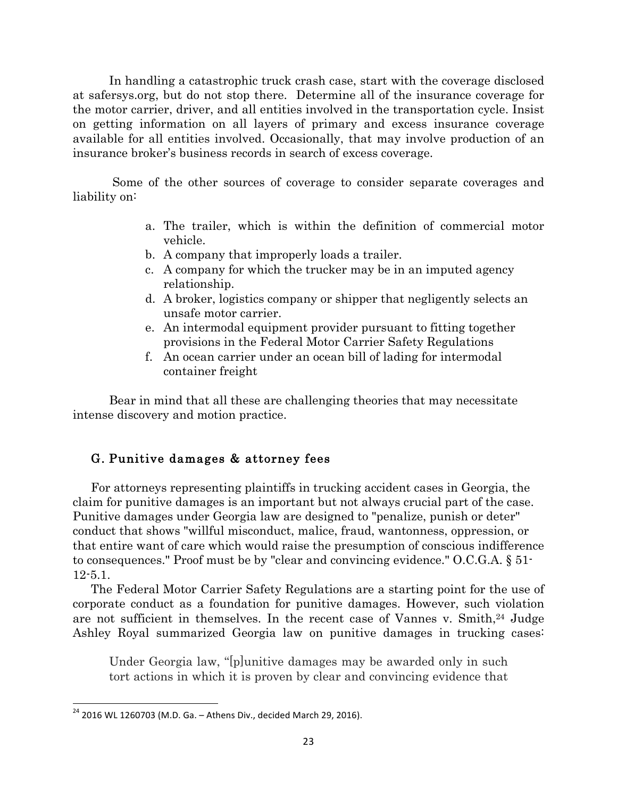In handling a catastrophic truck crash case, start with the coverage disclosed at safersys.org, but do not stop there. Determine all of the insurance coverage for the motor carrier, driver, and all entities involved in the transportation cycle. Insist on getting information on all layers of primary and excess insurance coverage available for all entities involved. Occasionally, that may involve production of an insurance broker's business records in search of excess coverage.

Some of the other sources of coverage to consider separate coverages and liability on:

- a. The trailer, which is within the definition of commercial motor vehicle.
- b. A company that improperly loads a trailer.
- c. A company for which the trucker may be in an imputed agency relationship.
- d. A broker, logistics company or shipper that negligently selects an unsafe motor carrier.
- e. An intermodal equipment provider pursuant to fitting together provisions in the Federal Motor Carrier Safety Regulations
- f. An ocean carrier under an ocean bill of lading for intermodal container freight

Bear in mind that all these are challenging theories that may necessitate intense discovery and motion practice.

# G. Punitive damages & attorney fees

For attorneys representing plaintiffs in trucking accident cases in Georgia, the claim for punitive damages is an important but not always crucial part of the case. Punitive damages under Georgia law are designed to "penalize, punish or deter" conduct that shows "willful misconduct, malice, fraud, wantonness, oppression, or that entire want of care which would raise the presumption of conscious indifference to consequences." Proof must be by "clear and convincing evidence." O.C.G.A. § 51- 12-5.1.

The Federal Motor Carrier Safety Regulations are a starting point for the use of corporate conduct as a foundation for punitive damages. However, such violation are not sufficient in themselves. In the recent case of Vannes v. Smith,<sup>24</sup> Judge Ashley Royal summarized Georgia law on punitive damages in trucking cases:

Under Georgia law, "[p]unitive damages may be awarded only in such tort actions in which it is proven by clear and convincing evidence that

 $24$  2016 WL 1260703 (M.D. Ga. - Athens Div., decided March 29, 2016).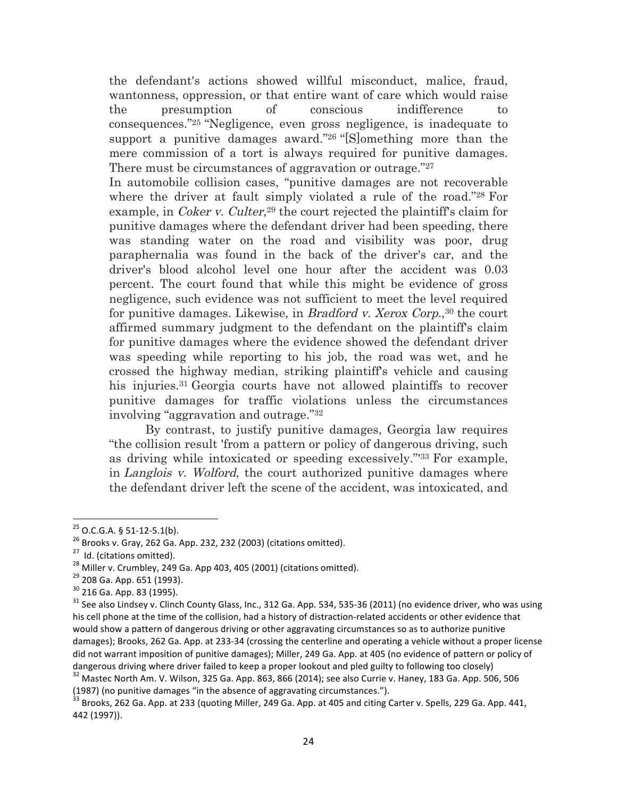the defendant's actions showed willful misconduct, malice, fraud, wantonness, oppression, or that entire want of care which would raise the presumption of conscious indifference to consequences."25 "Negligence, even gross negligence, is inadequate to support a punitive damages award."26 "[S]omething more than the mere commission of a tort is always required for punitive damages. There must be circumstances of aggravation or outrage."27

In automobile collision cases, "punitive damages are not recoverable where the driver at fault simply violated a rule of the road."28 For example, in *Coker v. Culter*<sup>29</sup> the court rejected the plaintiff's claim for punitive damages where the defendant driver had been speeding, there was standing water on the road and visibility was poor, drug paraphernalia was found in the back of the driver's car, and the driver's blood alcohol level one hour after the accident was 0.03 percent. The court found that while this might be evidence of gross negligence, such evidence was not sufficient to meet the level required for punitive damages. Likewise, in *Bradford v. Xerox Corp.*<sup>30</sup> the court affirmed summary judgment to the defendant on the plaintiff's claim for punitive damages where the evidence showed the defendant driver was speeding while reporting to his job, the road was wet, and he crossed the highway median, striking plaintiff's vehicle and causing his injuries.31 Georgia courts have not allowed plaintiffs to recover punitive damages for traffic violations unless the circumstances involving "aggravation and outrage."32

By contrast, to justify punitive damages, Georgia law requires "the collision result 'from a pattern or policy of dangerous driving, such as driving while intoxicated or speeding excessively."'33 For example, in Langlois v. Wolford, the court authorized punitive damages where the defendant driver left the scene of the accident, was intoxicated, and

<sup>&</sup>lt;sup>25</sup> O.C.G.A. § 51-12-5.1(b).<br><sup>26</sup> Brooks v. Gray, 262 Ga. App. 232, 232 (2003) (citations omitted).<br><sup>27</sup> Id. (citations omitted).<br><sup>29</sup> 208 Ga. App. 651 (1993).<br><sup>29</sup> 208 Ga. App. 651 (1993).<br><sup>30</sup> 216 Ga. App. 83 (1995).<br><sup></sup> his cell phone at the time of the collision, had a history of distraction-related accidents or other evidence that would show a pattern of dangerous driving or other aggravating circumstances so as to authorize punitive damages); Brooks, 262 Ga. App. at 233-34 (crossing the centerline and operating a vehicle without a proper license did not warrant imposition of punitive damages); Miller, 249 Ga. App. at 405 (no evidence of pattern or policy of dangerous driving where driver failed to keep a proper lookout and pled guilty to following too closely)  $32$  Mastec North Am. V. Wilson, 325 Ga. App. 863, 866 (2014); see also Currie v. Haney, 183 Ga. App. 506, 506

<sup>(1987) (</sup>no punitive damages "in the absence of aggravating circumstances.").

 $33$  Brooks, 262 Ga. App. at 233 (quoting Miller, 249 Ga. App. at 405 and citing Carter v. Spells, 229 Ga. App. 441, 442 (1997)).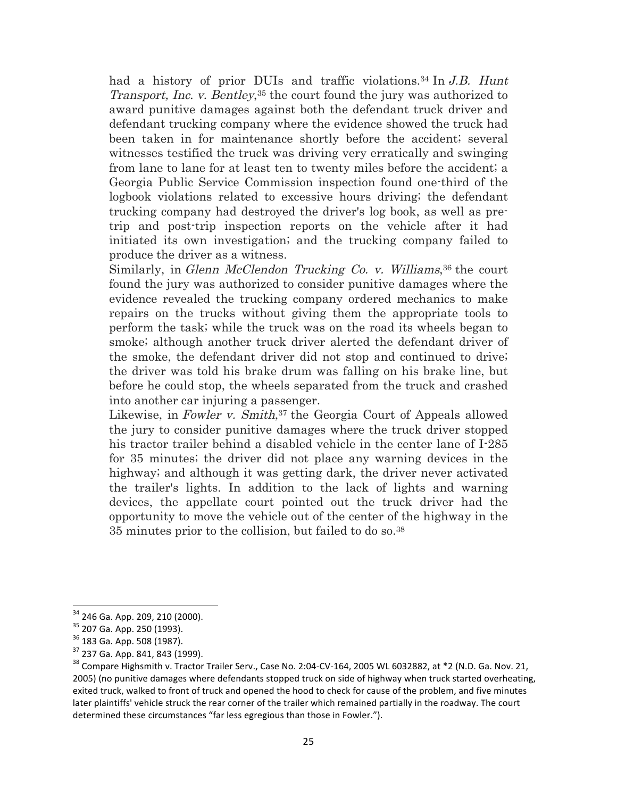had a history of prior DUIs and traffic violations.<sup>34</sup> In J.B. Hunt Transport, Inc. v. Bentley,<sup>35</sup> the court found the jury was authorized to award punitive damages against both the defendant truck driver and defendant trucking company where the evidence showed the truck had been taken in for maintenance shortly before the accident; several witnesses testified the truck was driving very erratically and swinging from lane to lane for at least ten to twenty miles before the accident; a Georgia Public Service Commission inspection found one-third of the logbook violations related to excessive hours driving; the defendant trucking company had destroyed the driver's log book, as well as pretrip and post-trip inspection reports on the vehicle after it had initiated its own investigation; and the trucking company failed to produce the driver as a witness.

Similarly, in Glenn McClendon Trucking Co. v. Williams, 36 the court found the jury was authorized to consider punitive damages where the evidence revealed the trucking company ordered mechanics to make repairs on the trucks without giving them the appropriate tools to perform the task; while the truck was on the road its wheels began to smoke; although another truck driver alerted the defendant driver of the smoke, the defendant driver did not stop and continued to drive; the driver was told his brake drum was falling on his brake line, but before he could stop, the wheels separated from the truck and crashed into another car injuring a passenger.

Likewise, in Fowler v. Smith,<sup>37</sup> the Georgia Court of Appeals allowed the jury to consider punitive damages where the truck driver stopped his tractor trailer behind a disabled vehicle in the center lane of I-285 for 35 minutes; the driver did not place any warning devices in the highway; and although it was getting dark, the driver never activated the trailer's lights. In addition to the lack of lights and warning devices, the appellate court pointed out the truck driver had the opportunity to move the vehicle out of the center of the highway in the 35 minutes prior to the collision, but failed to do so.38

<sup>&</sup>lt;sup>34</sup> 246 Ga. App. 209, 210 (2000).<br><sup>35</sup> 207 Ga. App. 250 (1993).<br><sup>36</sup> 183 Ga. App. 508 (1987).<br><sup>37</sup> 237 Ga. App. 841, 843 (1999).<br><sup>38</sup> Compare Highsmith v. Tractor Trailer Serv., Case No. 2:04-CV-164, 2005 WL 6032882, at \* 2005) (no punitive damages where defendants stopped truck on side of highway when truck started overheating, exited truck, walked to front of truck and opened the hood to check for cause of the problem, and five minutes later plaintiffs' vehicle struck the rear corner of the trailer which remained partially in the roadway. The court determined these circumstances "far less egregious than those in Fowler.").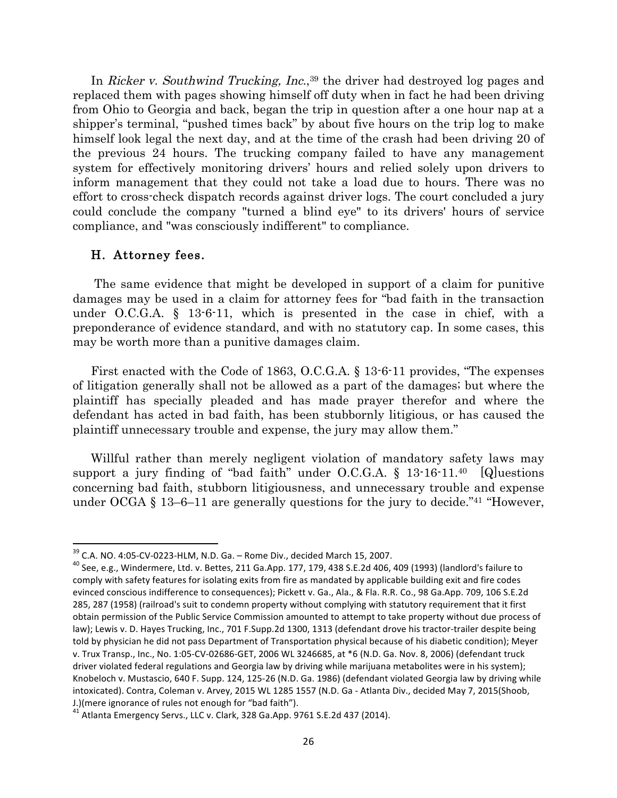In Ricker v. Southwind Trucking, Inc.,<sup>39</sup> the driver had destroyed log pages and replaced them with pages showing himself off duty when in fact he had been driving from Ohio to Georgia and back, began the trip in question after a one hour nap at a shipper's terminal, "pushed times back" by about five hours on the trip log to make himself look legal the next day, and at the time of the crash had been driving 20 of the previous 24 hours. The trucking company failed to have any management system for effectively monitoring drivers' hours and relied solely upon drivers to inform management that they could not take a load due to hours. There was no effort to cross-check dispatch records against driver logs. The court concluded a jury could conclude the company "turned a blind eye" to its drivers' hours of service compliance, and "was consciously indifferent" to compliance.

#### H. Attorney fees.

 

The same evidence that might be developed in support of a claim for punitive damages may be used in a claim for attorney fees for "bad faith in the transaction under O.C.G.A. § 13-6-11, which is presented in the case in chief, with a preponderance of evidence standard, and with no statutory cap. In some cases, this may be worth more than a punitive damages claim.

First enacted with the Code of 1863, O.C.G.A. § 13-6-11 provides, "The expenses of litigation generally shall not be allowed as a part of the damages; but where the plaintiff has specially pleaded and has made prayer therefor and where the defendant has acted in bad faith, has been stubbornly litigious, or has caused the plaintiff unnecessary trouble and expense, the jury may allow them."

Willful rather than merely negligent violation of mandatory safety laws may support a jury finding of "bad faith" under O.C.G.A.  $\S$  13-16-11.<sup>40</sup> [Q] uestions concerning bad faith, stubborn litigiousness, and unnecessary trouble and expense under OCGA  $\S$  13–6–11 are generally questions for the jury to decide.<sup>"41</sup> "However,

 $39$  C.A. NO. 4:05-CV-0223-HLM, N.D. Ga. – Rome Div., decided March 15, 2007.<br>  $40$  See, e.g., Windermere, Ltd. v. Bettes, 211 Ga.App. 177, 179, 438 S.E.2d 406, 409 (1993) (landlord's failure to comply with safety features for isolating exits from fire as mandated by applicable building exit and fire codes evinced conscious indifference to consequences); Pickett v. Ga., Ala., & Fla. R.R. Co., 98 Ga.App. 709, 106 S.E.2d 285, 287 (1958) (railroad's suit to condemn property without complying with statutory requirement that it first obtain permission of the Public Service Commission amounted to attempt to take property without due process of law); Lewis v. D. Hayes Trucking, Inc., 701 F.Supp.2d 1300, 1313 (defendant drove his tractor-trailer despite being told by physician he did not pass Department of Transportation physical because of his diabetic condition); Meyer v. Trux Transp., Inc., No. 1:05-CV-02686-GET, 2006 WL 3246685, at \*6 (N.D. Ga. Nov. 8, 2006) (defendant truck driver violated federal regulations and Georgia law by driving while marijuana metabolites were in his system); Knobeloch v. Mustascio, 640 F. Supp. 124, 125-26 (N.D. Ga. 1986) (defendant violated Georgia law by driving while intoxicated). Contra, Coleman v. Arvey, 2015 WL 1285 1557 (N.D. Ga - Atlanta Div., decided May 7, 2015(Shoob,

J.)(mere ignorance of rules not enough for "bad faith").<br><sup>41</sup> Atlanta Emergency Servs., LLC v. Clark, 328 Ga.App. 9761 S.E.2d 437 (2014).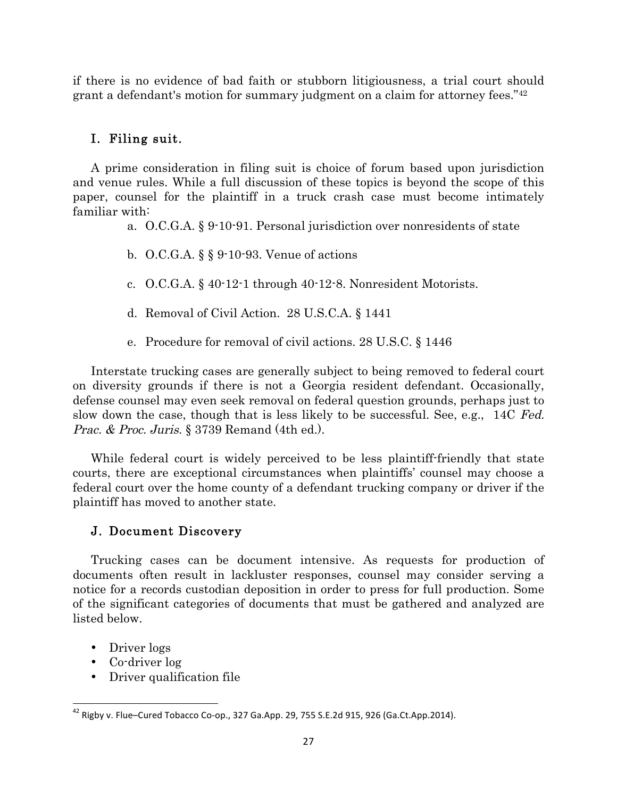if there is no evidence of bad faith or stubborn litigiousness, a trial court should grant a defendant's motion for summary judgment on a claim for attorney fees."42

### I. Filing suit.

A prime consideration in filing suit is choice of forum based upon jurisdiction and venue rules. While a full discussion of these topics is beyond the scope of this paper, counsel for the plaintiff in a truck crash case must become intimately familiar with:

- a. O.C.G.A. § 9-10-91. Personal jurisdiction over nonresidents of state
- b. O.C.G.A. § § 9-10-93. Venue of actions
- c. O.C.G.A. § 40-12-1 through 40-12-8. Nonresident Motorists.
- d. Removal of Civil Action. 28 U.S.C.A. § 1441
- e. Procedure for removal of civil actions. 28 U.S.C. § 1446

Interstate trucking cases are generally subject to being removed to federal court on diversity grounds if there is not a Georgia resident defendant. Occasionally, defense counsel may even seek removal on federal question grounds, perhaps just to slow down the case, though that is less likely to be successful. See, e.g., 14C Fed. Prac. & Proc. Juris. § 3739 Remand (4th ed.).

While federal court is widely perceived to be less plaintiff-friendly that state courts, there are exceptional circumstances when plaintiffs' counsel may choose a federal court over the home county of a defendant trucking company or driver if the plaintiff has moved to another state.

### J. Document Discovery

Trucking cases can be document intensive. As requests for production of documents often result in lackluster responses, counsel may consider serving a notice for a records custodian deposition in order to press for full production. Some of the significant categories of documents that must be gathered and analyzed are listed below.

- Driver logs
- Co-driver log

 

• Driver qualification file

 $42$  Rigby v. Flue–Cured Tobacco Co-op., 327 Ga.App. 29, 755 S.E.2d 915, 926 (Ga.Ct.App.2014).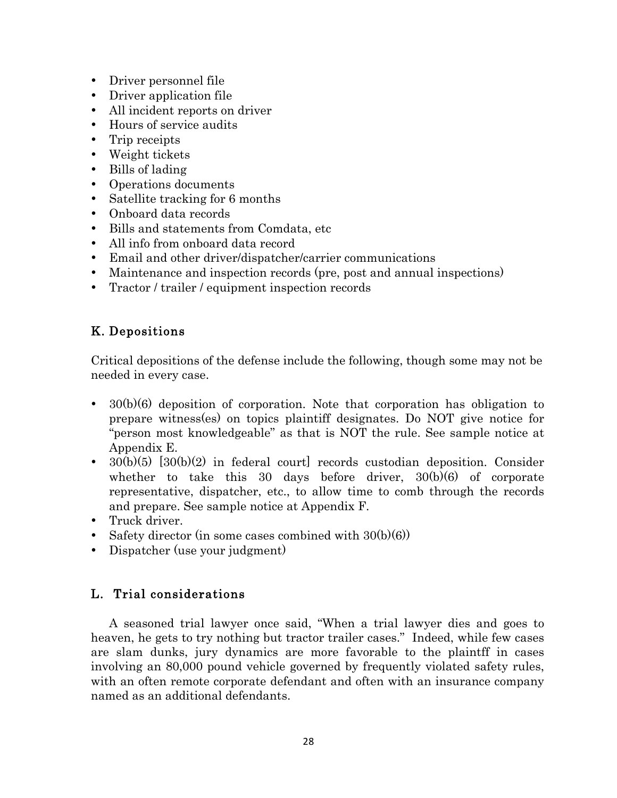- Driver personnel file
- Driver application file
- All incident reports on driver
- Hours of service audits
- Trip receipts
- Weight tickets
- Bills of lading
- Operations documents
- Satellite tracking for 6 months
- Onboard data records
- Bills and statements from Comdata, etc
- All info from onboard data record
- Email and other driver/dispatcher/carrier communications
- Maintenance and inspection records (pre, post and annual inspections)
- Tractor / trailer / equipment inspection records

# K. Depositions

Critical depositions of the defense include the following, though some may not be needed in every case.

- 30(b)(6) deposition of corporation. Note that corporation has obligation to prepare witness(es) on topics plaintiff designates. Do NOT give notice for "person most knowledgeable" as that is NOT the rule. See sample notice at Appendix E.
- $30(b)(5)$   $[30(b)(2)$  in federal court records custodian deposition. Consider whether to take this 30 days before driver,  $30(b)(6)$  of corporate representative, dispatcher, etc., to allow time to comb through the records and prepare. See sample notice at Appendix F.
- Truck driver.
- Safety director (in some cases combined with  $30(b)(6)$ )
- Dispatcher (use your judgment)

# L. Trial considerations

A seasoned trial lawyer once said, "When a trial lawyer dies and goes to heaven, he gets to try nothing but tractor trailer cases." Indeed, while few cases are slam dunks, jury dynamics are more favorable to the plaintff in cases involving an 80,000 pound vehicle governed by frequently violated safety rules, with an often remote corporate defendant and often with an insurance company named as an additional defendants.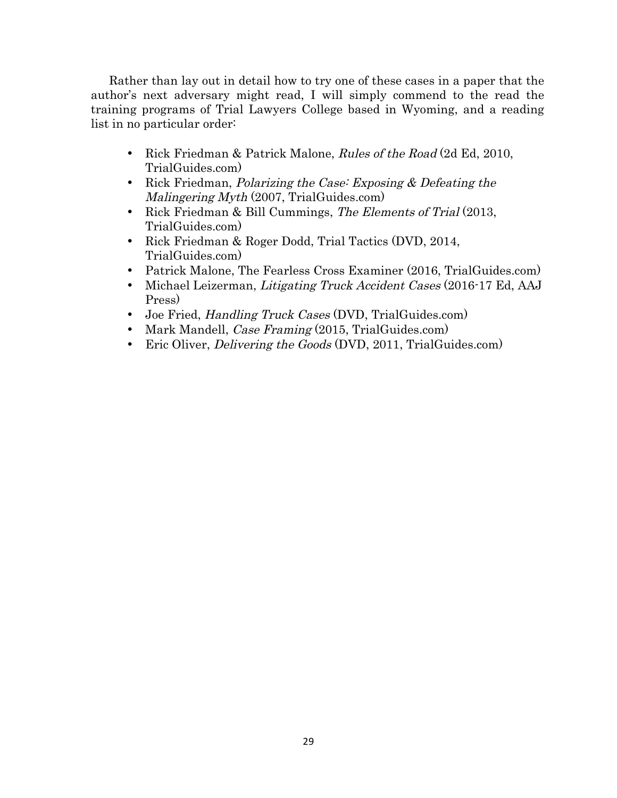Rather than lay out in detail how to try one of these cases in a paper that the author's next adversary might read, I will simply commend to the read the training programs of Trial Lawyers College based in Wyoming, and a reading list in no particular order:

- Rick Friedman & Patrick Malone, Rules of the Road (2d Ed, 2010, TrialGuides.com)
- Rick Friedman, *Polarizing the Case: Exposing & Defeating the* Malingering Myth (2007, TrialGuides.com)
- Rick Friedman & Bill Cummings, The Elements of Trial (2013, TrialGuides.com)
- Rick Friedman & Roger Dodd, Trial Tactics (DVD, 2014, TrialGuides.com)
- Patrick Malone, The Fearless Cross Examiner (2016, TrialGuides.com)
- Michael Leizerman, Litigating Truck Accident Cases (2016-17 Ed, AAJ Press)
- Joe Fried, *Handling Truck Cases* (DVD, TrialGuides.com)
- Mark Mandell, *Case Framing* (2015, TrialGuides.com)
- Eric Oliver, *Delivering the Goods* (DVD, 2011, TrialGuides.com)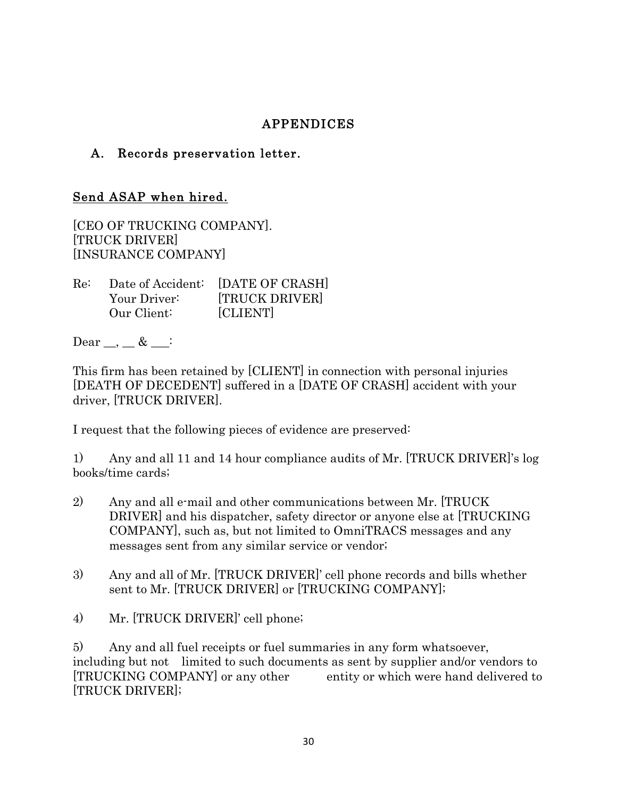# APPENDICES

# A. Records preservation letter.

## Send ASAP when hired.

[CEO OF TRUCKING COMPANY]. [TRUCK DRIVER] [INSURANCE COMPANY]

| Re: |              | Date of Accident: [DATE OF CRASH] |
|-----|--------------|-----------------------------------|
|     | Your Driver: | <b>TRUCK DRIVER</b>               |
|     | Our Client:  | [CLIENT]                          |

Dear  $\_\_\_\_\& \& \_\_\$ 

This firm has been retained by [CLIENT] in connection with personal injuries [DEATH OF DECEDENT] suffered in a [DATE OF CRASH] accident with your driver, [TRUCK DRIVER].

I request that the following pieces of evidence are preserved:

1) Any and all 11 and 14 hour compliance audits of Mr. [TRUCK DRIVER]'s log books/time cards;

- 2) Any and all e-mail and other communications between Mr. [TRUCK DRIVER] and his dispatcher, safety director or anyone else at [TRUCKING COMPANY], such as, but not limited to OmniTRACS messages and any messages sent from any similar service or vendor;
- 3) Any and all of Mr. [TRUCK DRIVER]' cell phone records and bills whether sent to Mr. [TRUCK DRIVER] or [TRUCKING COMPANY];
- 4) Mr. [TRUCK DRIVER]' cell phone;

5) Any and all fuel receipts or fuel summaries in any form whatsoever, including but not limited to such documents as sent by supplier and/or vendors to [TRUCKING COMPANY] or any other entity or which were hand delivered to [TRUCK DRIVER];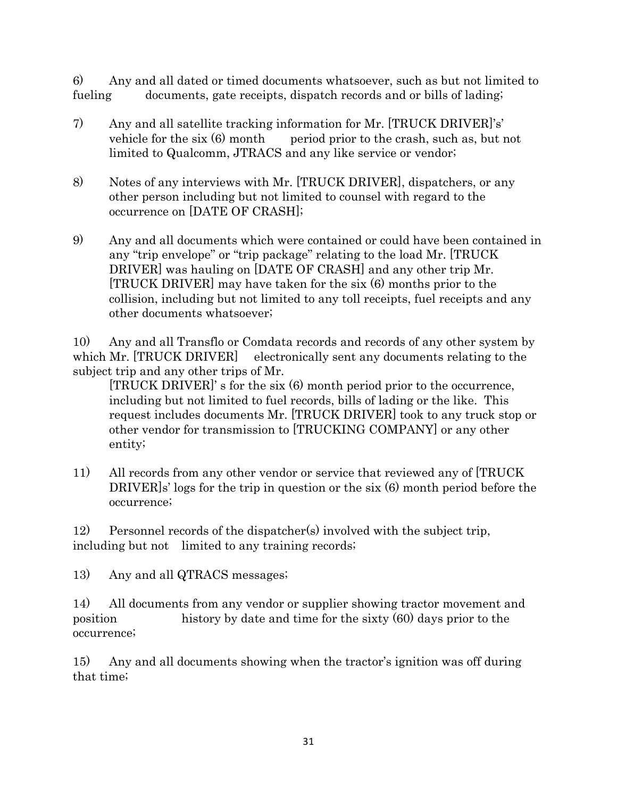6) Any and all dated or timed documents whatsoever, such as but not limited to fueling documents, gate receipts, dispatch records and or bills of lading;

- 7) Any and all satellite tracking information for Mr. [TRUCK DRIVER]'s' vehicle for the six  $(6)$  month period prior to the crash, such as, but not limited to Qualcomm, JTRACS and any like service or vendor;
- 8) Notes of any interviews with Mr. [TRUCK DRIVER], dispatchers, or any other person including but not limited to counsel with regard to the occurrence on [DATE OF CRASH];
- 9) Any and all documents which were contained or could have been contained in any "trip envelope" or "trip package" relating to the load Mr. [TRUCK DRIVER] was hauling on [DATE OF CRASH] and any other trip Mr. [TRUCK DRIVER] may have taken for the six (6) months prior to the collision, including but not limited to any toll receipts, fuel receipts and any other documents whatsoever;

10) Any and all Transflo or Comdata records and records of any other system by which Mr. [TRUCK DRIVER] electronically sent any documents relating to the subject trip and any other trips of Mr.

[TRUCK DRIVER]' s for the six (6) month period prior to the occurrence, including but not limited to fuel records, bills of lading or the like. This request includes documents Mr. [TRUCK DRIVER] took to any truck stop or other vendor for transmission to [TRUCKING COMPANY] or any other entity;

11) All records from any other vendor or service that reviewed any of [TRUCK DRIVER]s' logs for the trip in question or the six (6) month period before the occurrence;

12) Personnel records of the dispatcher(s) involved with the subject trip, including but not limited to any training records;

13) Any and all QTRACS messages;

14) All documents from any vendor or supplier showing tractor movement and position history by date and time for the sixty (60) days prior to the occurrence;

15) Any and all documents showing when the tractor's ignition was off during that time;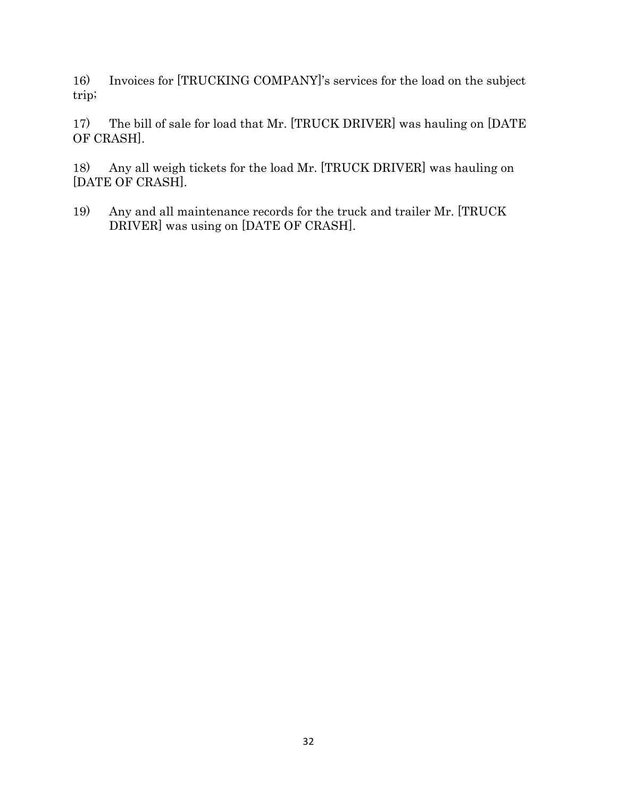16) Invoices for [TRUCKING COMPANY]'s services for the load on the subject trip;

17) The bill of sale for load that Mr. [TRUCK DRIVER] was hauling on [DATE OF CRASH].

18) Any all weigh tickets for the load Mr. [TRUCK DRIVER] was hauling on [DATE OF CRASH].

19) Any and all maintenance records for the truck and trailer Mr. [TRUCK DRIVER] was using on [DATE OF CRASH].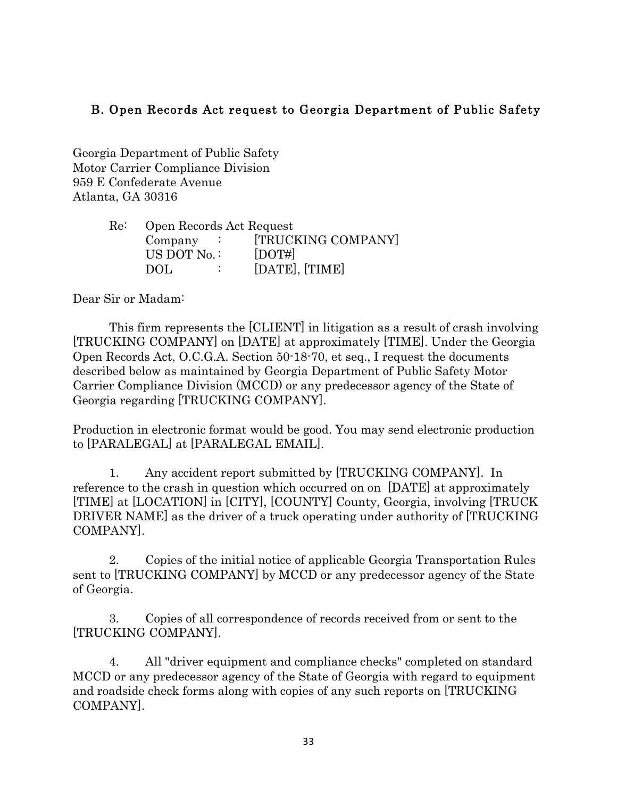# B. Open Records Act request to Georgia Department of Public Safety

Georgia Department of Public Safety Motor Carrier Compliance Division 959 E Confederate Avenue Atlanta, GA 30316

| Re: | Open Records Act Request |                    |
|-----|--------------------------|--------------------|
|     | $Compary$ :              | [TRUCKING COMPANY] |
|     | US DOT No.:              | $[$ DOT# $]$       |
|     | DOL.                     | [DATE], [TIME]     |

Dear Sir or Madam:

This firm represents the [CLIENT] in litigation as a result of crash involving [TRUCKING COMPANY] on [DATE] at approximately [TIME]. Under the Georgia Open Records Act, O.C.G.A. Section 50-18-70, et seq., I request the documents described below as maintained by Georgia Department of Public Safety Motor Carrier Compliance Division (MCCD) or any predecessor agency of the State of Georgia regarding [TRUCKING COMPANY].

Production in electronic format would be good. You may send electronic production to [PARALEGAL] at [PARALEGAL EMAIL].

1. Any accident report submitted by [TRUCKING COMPANY]. In reference to the crash in question which occurred on on [DATE] at approximately [TIME] at [LOCATION] in [CITY], [COUNTY] County, Georgia, involving [TRUCK DRIVER NAME] as the driver of a truck operating under authority of [TRUCKING COMPANY].

2. Copies of the initial notice of applicable Georgia Transportation Rules sent to [TRUCKING COMPANY] by MCCD or any predecessor agency of the State of Georgia.

3. Copies of all correspondence of records received from or sent to the [TRUCKING COMPANY].

4. All "driver equipment and compliance checks" completed on standard MCCD or any predecessor agency of the State of Georgia with regard to equipment and roadside check forms along with copies of any such reports on [TRUCKING COMPANY].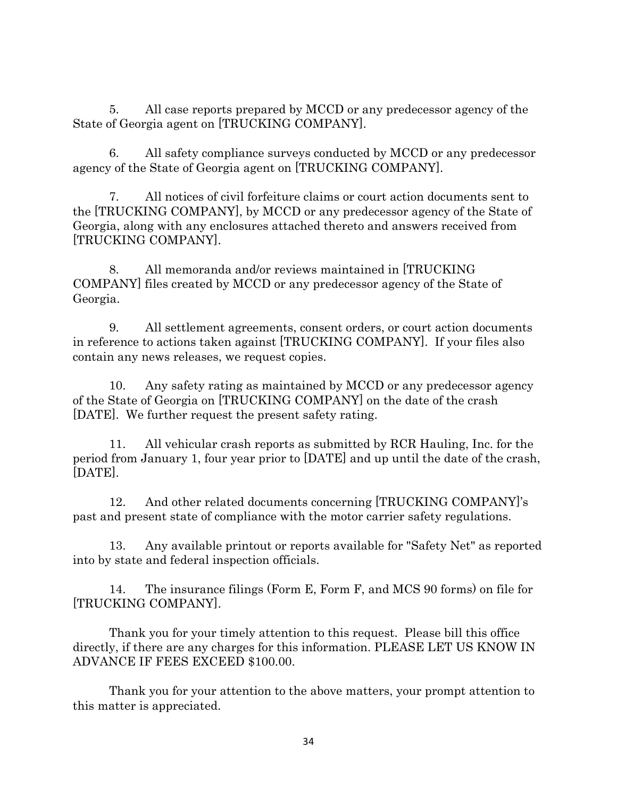5. All case reports prepared by MCCD or any predecessor agency of the State of Georgia agent on [TRUCKING COMPANY].

6. All safety compliance surveys conducted by MCCD or any predecessor agency of the State of Georgia agent on [TRUCKING COMPANY].

7. All notices of civil forfeiture claims or court action documents sent to the [TRUCKING COMPANY], by MCCD or any predecessor agency of the State of Georgia, along with any enclosures attached thereto and answers received from [TRUCKING COMPANY].

8. All memoranda and/or reviews maintained in [TRUCKING COMPANY] files created by MCCD or any predecessor agency of the State of Georgia.

9. All settlement agreements, consent orders, or court action documents in reference to actions taken against [TRUCKING COMPANY]. If your files also contain any news releases, we request copies.

10. Any safety rating as maintained by MCCD or any predecessor agency of the State of Georgia on [TRUCKING COMPANY] on the date of the crash [DATE]. We further request the present safety rating.

11. All vehicular crash reports as submitted by RCR Hauling, Inc. for the period from January 1, four year prior to [DATE] and up until the date of the crash, [DATE].

12. And other related documents concerning [TRUCKING COMPANY]'s past and present state of compliance with the motor carrier safety regulations.

13. Any available printout or reports available for "Safety Net" as reported into by state and federal inspection officials.

14. The insurance filings (Form E, Form F, and MCS 90 forms) on file for [TRUCKING COMPANY].

Thank you for your timely attention to this request. Please bill this office directly, if there are any charges for this information. PLEASE LET US KNOW IN ADVANCE IF FEES EXCEED \$100.00.

Thank you for your attention to the above matters, your prompt attention to this matter is appreciated.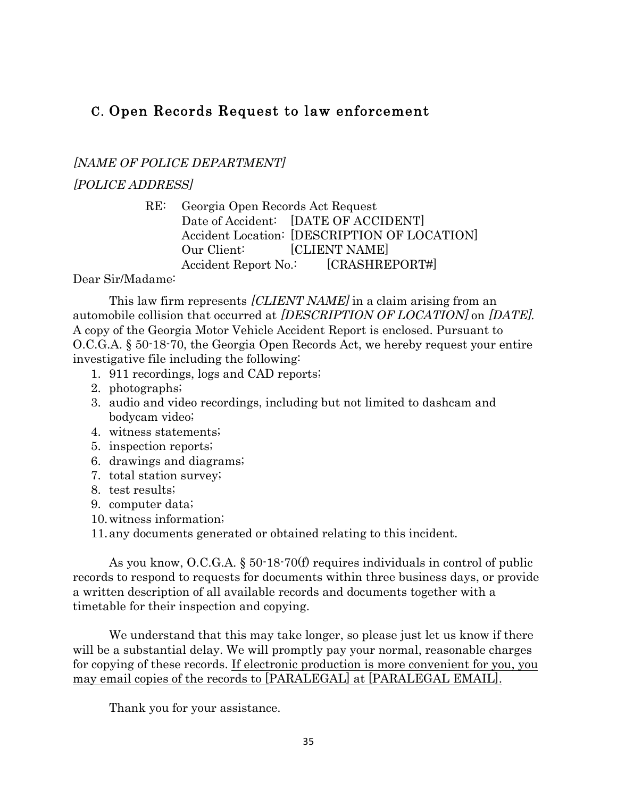# C. Open Records Request to law enforcement

[NAME OF POLICE DEPARTMENT]

[POLICE ADDRESS]

RE: Georgia Open Records Act Request Date of Accident: [DATE OF ACCIDENT] Accident Location: [DESCRIPTION OF LOCATION] Our Client: [CLIENT NAME] Accident Report No.: [CRASHREPORT#]

Dear Sir/Madame:

This law firm represents *[CLIENT NAME]* in a claim arising from an automobile collision that occurred at [DESCRIPTION OF LOCATION] on [DATE]. A copy of the Georgia Motor Vehicle Accident Report is enclosed. Pursuant to O.C.G.A. § 50-18-70, the Georgia Open Records Act, we hereby request your entire investigative file including the following:

- 1. 911 recordings, logs and CAD reports;
- 2. photographs;
- 3. audio and video recordings, including but not limited to dashcam and bodycam video;
- 4. witness statements;
- 5. inspection reports;
- 6. drawings and diagrams;
- 7. total station survey;
- 8. test results;
- 9. computer data;
- 10.witness information;

11.any documents generated or obtained relating to this incident.

As you know, O.C.G.A. § 50-18-70(f) requires individuals in control of public records to respond to requests for documents within three business days, or provide a written description of all available records and documents together with a timetable for their inspection and copying.

We understand that this may take longer, so please just let us know if there will be a substantial delay. We will promptly pay your normal, reasonable charges for copying of these records. If electronic production is more convenient for you, you may email copies of the records to [PARALEGAL] at [PARALEGAL EMAIL].

Thank you for your assistance.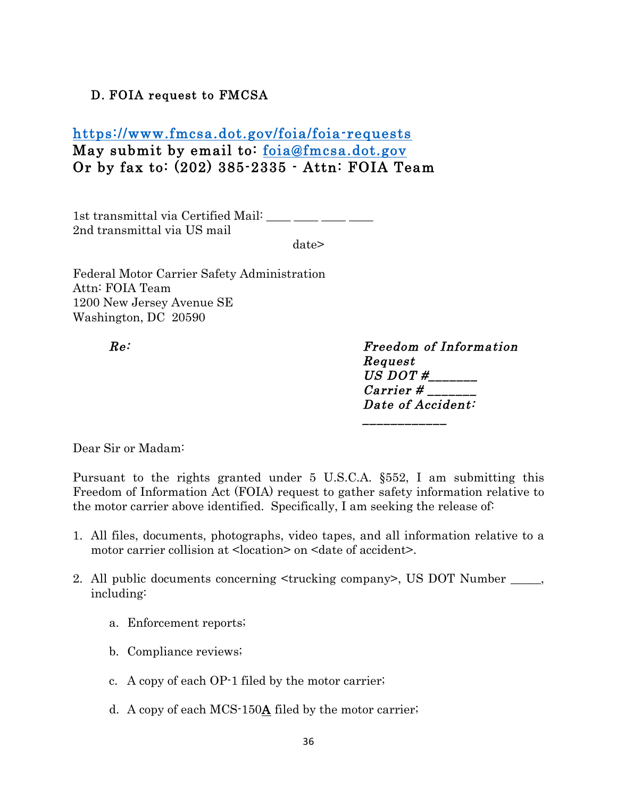# D. FOIA request to FMCSA

# https://www.fmcsa.dot.gov/foia/foia-requests May submit by email to: foia@fmcsa.dot.gov Or by fax to: (202) 385-2335 - Attn: FOIA Team

1st transmittal via Certified Mail: \_\_\_\_ \_\_\_ \_\_\_ \_\_\_ 2nd transmittal via US mail

date>

Federal Motor Carrier Safety Administration Attn: FOIA Team 1200 New Jersey Avenue SE Washington, DC 20590

Re: Freedom of Information Request US DOT  $\#$  Carrier # \_\_\_\_\_\_\_ Date of Accident:

\_\_\_\_\_\_\_\_\_\_\_\_\_\_\_\_\_\_\_\_\_\_\_

Dear Sir or Madam:

Pursuant to the rights granted under 5 U.S.C.A. §552, I am submitting this Freedom of Information Act (FOIA) request to gather safety information relative to the motor carrier above identified. Specifically, I am seeking the release of:

- 1. All files, documents, photographs, video tapes, and all information relative to a motor carrier collision at <location> on <date of accident>.
- 2. All public documents concerning  $\leq$ trucking company>, US DOT Number \_\_\_\_\_, including:
	- a. Enforcement reports;
	- b. Compliance reviews;
	- c. A copy of each OP-1 filed by the motor carrier;
	- d. A copy of each MCS-150A filed by the motor carrier;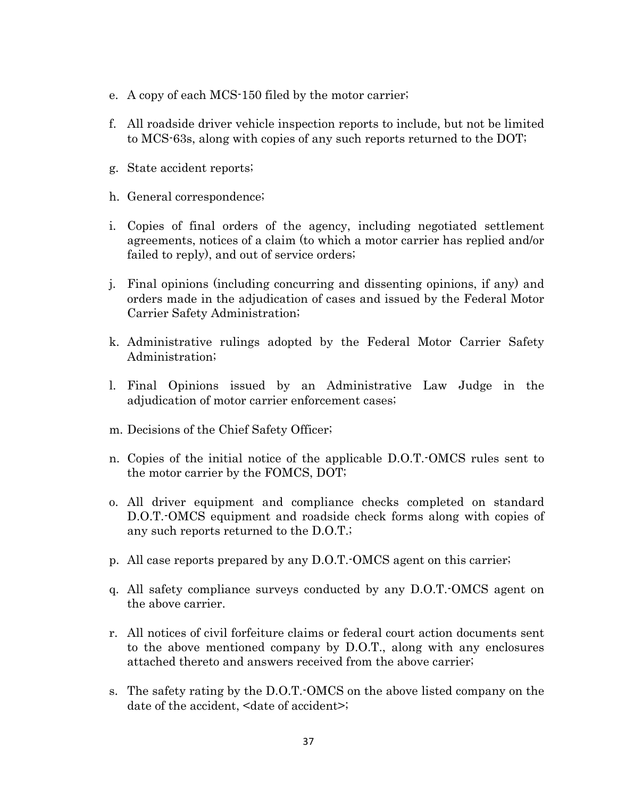- e. A copy of each MCS-150 filed by the motor carrier;
- f. All roadside driver vehicle inspection reports to include, but not be limited to MCS-63s, along with copies of any such reports returned to the DOT;
- g. State accident reports;
- h. General correspondence;
- i. Copies of final orders of the agency, including negotiated settlement agreements, notices of a claim (to which a motor carrier has replied and/or failed to reply), and out of service orders;
- j. Final opinions (including concurring and dissenting opinions, if any) and orders made in the adjudication of cases and issued by the Federal Motor Carrier Safety Administration;
- k. Administrative rulings adopted by the Federal Motor Carrier Safety Administration;
- l. Final Opinions issued by an Administrative Law Judge in the adjudication of motor carrier enforcement cases;
- m. Decisions of the Chief Safety Officer;
- n. Copies of the initial notice of the applicable D.O.T.-OMCS rules sent to the motor carrier by the FOMCS, DOT;
- o. All driver equipment and compliance checks completed on standard D.O.T.-OMCS equipment and roadside check forms along with copies of any such reports returned to the D.O.T.;
- p. All case reports prepared by any D.O.T.-OMCS agent on this carrier;
- q. All safety compliance surveys conducted by any D.O.T.-OMCS agent on the above carrier.
- r. All notices of civil forfeiture claims or federal court action documents sent to the above mentioned company by D.O.T., along with any enclosures attached thereto and answers received from the above carrier;
- s. The safety rating by the D.O.T.-OMCS on the above listed company on the date of the accident, <date of accident>;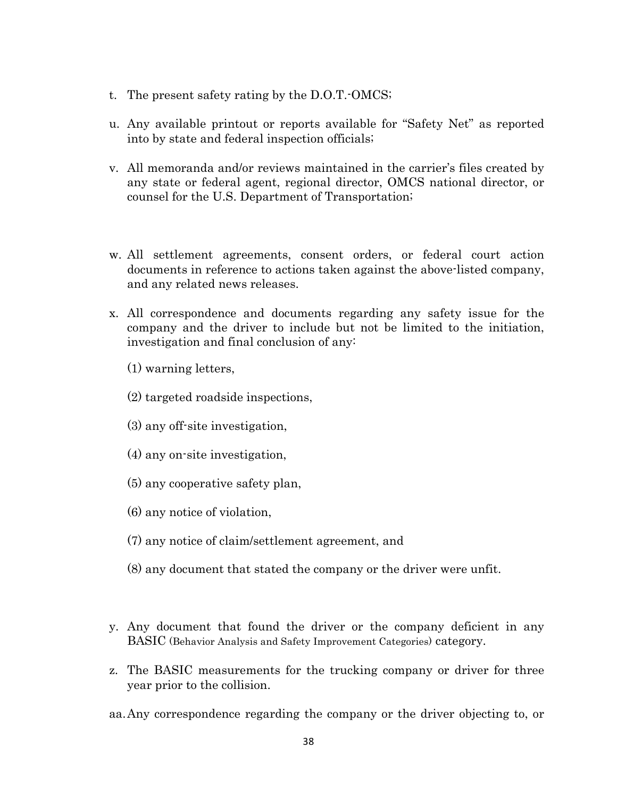- t. The present safety rating by the D.O.T.-OMCS;
- u. Any available printout or reports available for "Safety Net" as reported into by state and federal inspection officials;
- v. All memoranda and/or reviews maintained in the carrier's files created by any state or federal agent, regional director, OMCS national director, or counsel for the U.S. Department of Transportation;
- w. All settlement agreements, consent orders, or federal court action documents in reference to actions taken against the above-listed company, and any related news releases.
- x. All correspondence and documents regarding any safety issue for the company and the driver to include but not be limited to the initiation, investigation and final conclusion of any:
	- (1) warning letters,
	- (2) targeted roadside inspections,
	- (3) any off-site investigation,
	- (4) any on-site investigation,
	- (5) any cooperative safety plan,
	- (6) any notice of violation,
	- (7) any notice of claim/settlement agreement, and
	- (8) any document that stated the company or the driver were unfit.
- y. Any document that found the driver or the company deficient in any BASIC (Behavior Analysis and Safety Improvement Categories) category.
- z. The BASIC measurements for the trucking company or driver for three year prior to the collision.
- aa.Any correspondence regarding the company or the driver objecting to, or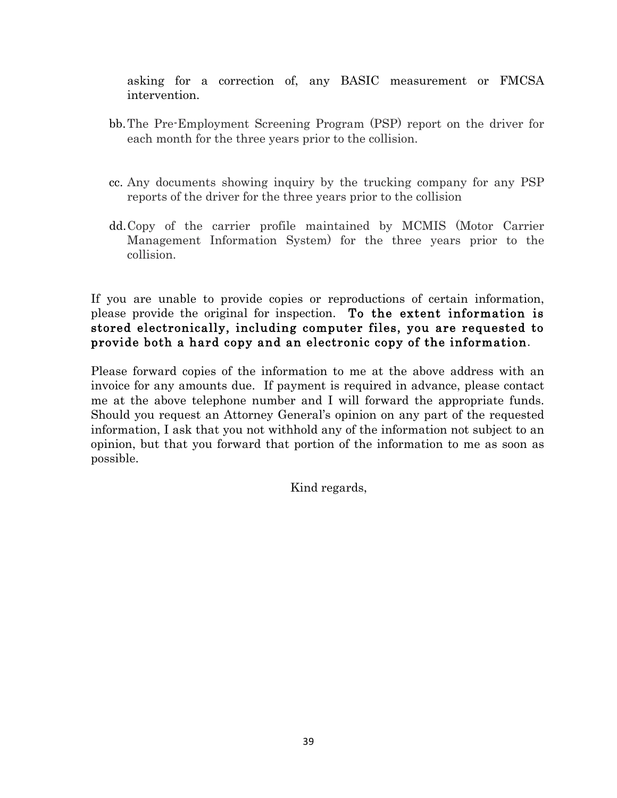asking for a correction of, any BASIC measurement or FMCSA intervention.

- bb.The Pre-Employment Screening Program (PSP) report on the driver for each month for the three years prior to the collision.
- cc. Any documents showing inquiry by the trucking company for any PSP reports of the driver for the three years prior to the collision
- dd.Copy of the carrier profile maintained by MCMIS (Motor Carrier Management Information System) for the three years prior to the collision.

If you are unable to provide copies or reproductions of certain information, please provide the original for inspection. To the extent information is stored electronically, including computer files, you are requested to provide both a hard copy and an electronic copy of the information.

Please forward copies of the information to me at the above address with an invoice for any amounts due. If payment is required in advance, please contact me at the above telephone number and I will forward the appropriate funds. Should you request an Attorney General's opinion on any part of the requested information, I ask that you not withhold any of the information not subject to an opinion, but that you forward that portion of the information to me as soon as possible.

Kind regards,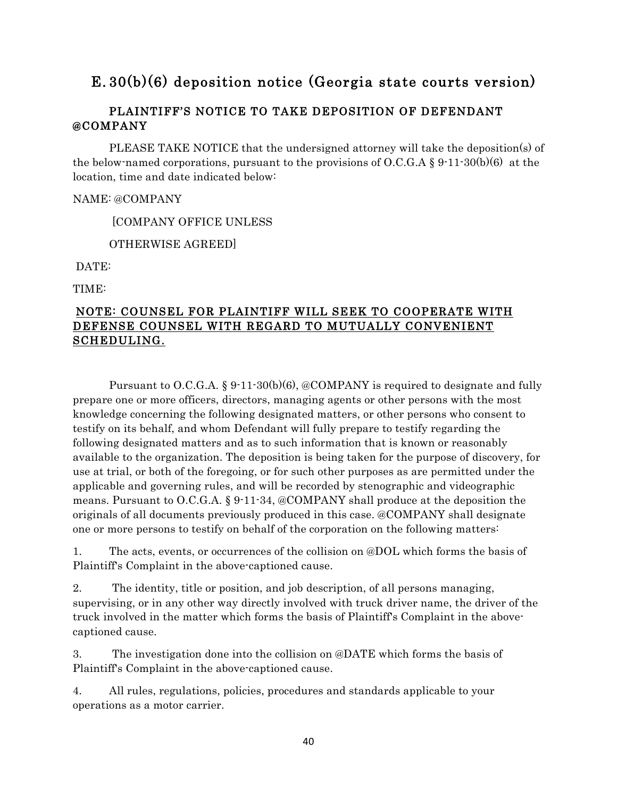# E. 30(b)(6) deposition notice (Georgia state courts version)

### PLAINTIFF'S NOTICE TO TAKE DEPOSITION OF DEFENDANT @COMPANY

PLEASE TAKE NOTICE that the undersigned attorney will take the deposition(s) of the below-named corporations, pursuant to the provisions of O.C.G.A  $\S 9 \cdot 11 \cdot 30(b)(6)$  at the location, time and date indicated below:

#### NAME: @COMPANY

[COMPANY OFFICE UNLESS

OTHERWISE AGREED]

DATE:

TIME:

### NOTE: COUNSEL FOR PLAINTIFF WILL SEEK TO COOPERATE WITH DEFENSE COUNSEL WITH REGARD TO MUTUALLY CONVENIENT SCHEDULING.

Pursuant to O.C.G.A.  $\S 9.11-30(b)(6)$ , @COMPANY is required to designate and fully prepare one or more officers, directors, managing agents or other persons with the most knowledge concerning the following designated matters, or other persons who consent to testify on its behalf, and whom Defendant will fully prepare to testify regarding the following designated matters and as to such information that is known or reasonably available to the organization. The deposition is being taken for the purpose of discovery, for use at trial, or both of the foregoing, or for such other purposes as are permitted under the applicable and governing rules, and will be recorded by stenographic and videographic means. Pursuant to O.C.G.A. § 9-11-34, @COMPANY shall produce at the deposition the originals of all documents previously produced in this case. @COMPANY shall designate one or more persons to testify on behalf of the corporation on the following matters:

1. The acts, events, or occurrences of the collision on @DOL which forms the basis of Plaintiff's Complaint in the above-captioned cause.

2. The identity, title or position, and job description, of all persons managing, supervising, or in any other way directly involved with truck driver name, the driver of the truck involved in the matter which forms the basis of Plaintiff's Complaint in the abovecaptioned cause.

3. The investigation done into the collision on @DATE which forms the basis of Plaintiff's Complaint in the above-captioned cause.

4. All rules, regulations, policies, procedures and standards applicable to your operations as a motor carrier.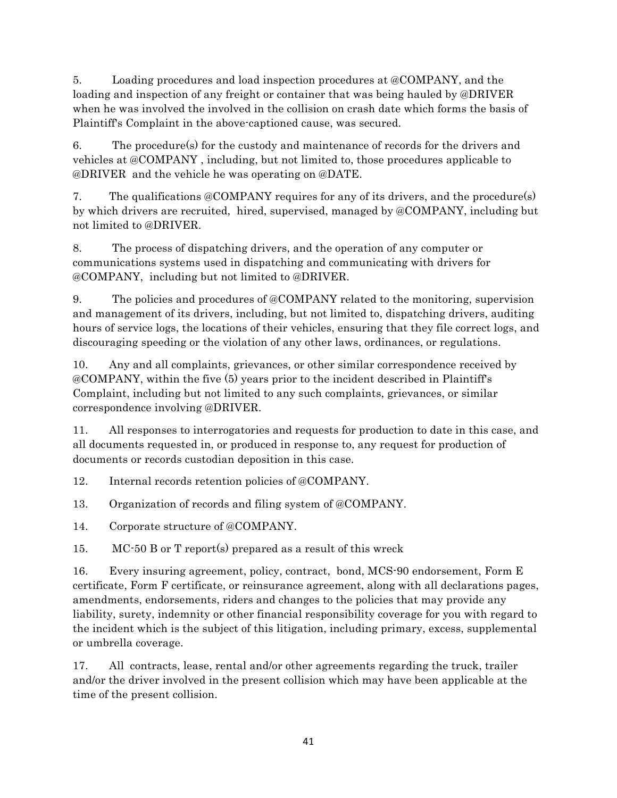5. Loading procedures and load inspection procedures at @COMPANY, and the loading and inspection of any freight or container that was being hauled by @DRIVER when he was involved the involved in the collision on crash date which forms the basis of Plaintiff's Complaint in the above-captioned cause, was secured.

6. The procedure(s) for the custody and maintenance of records for the drivers and vehicles at @COMPANY , including, but not limited to, those procedures applicable to @DRIVER and the vehicle he was operating on @DATE.

7. The qualifications @COMPANY requires for any of its drivers, and the procedure(s) by which drivers are recruited, hired, supervised, managed by @COMPANY, including but not limited to @DRIVER.

8. The process of dispatching drivers, and the operation of any computer or communications systems used in dispatching and communicating with drivers for @COMPANY, including but not limited to @DRIVER.

9. The policies and procedures of @COMPANY related to the monitoring, supervision and management of its drivers, including, but not limited to, dispatching drivers, auditing hours of service logs, the locations of their vehicles, ensuring that they file correct logs, and discouraging speeding or the violation of any other laws, ordinances, or regulations.

10. Any and all complaints, grievances, or other similar correspondence received by @COMPANY, within the five (5) years prior to the incident described in Plaintiff's Complaint, including but not limited to any such complaints, grievances, or similar correspondence involving @DRIVER.

11. All responses to interrogatories and requests for production to date in this case, and all documents requested in, or produced in response to, any request for production of documents or records custodian deposition in this case.

12. Internal records retention policies of @COMPANY.

13. Organization of records and filing system of @COMPANY.

14. Corporate structure of @COMPANY.

15. MC-50 B or T report(s) prepared as a result of this wreck

16. Every insuring agreement, policy, contract, bond, MCS-90 endorsement, Form E certificate, Form F certificate, or reinsurance agreement, along with all declarations pages, amendments, endorsements, riders and changes to the policies that may provide any liability, surety, indemnity or other financial responsibility coverage for you with regard to the incident which is the subject of this litigation, including primary, excess, supplemental or umbrella coverage.

17. All contracts, lease, rental and/or other agreements regarding the truck, trailer and/or the driver involved in the present collision which may have been applicable at the time of the present collision.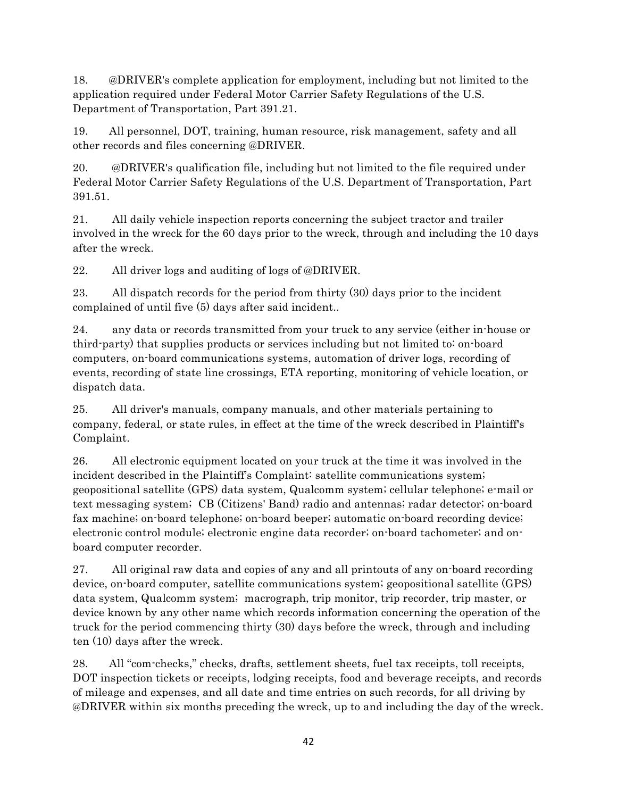18. @DRIVER's complete application for employment, including but not limited to the application required under Federal Motor Carrier Safety Regulations of the U.S. Department of Transportation, Part 391.21.

19. All personnel, DOT, training, human resource, risk management, safety and all other records and files concerning @DRIVER.

20. @DRIVER's qualification file, including but not limited to the file required under Federal Motor Carrier Safety Regulations of the U.S. Department of Transportation, Part 391.51.

21. All daily vehicle inspection reports concerning the subject tractor and trailer involved in the wreck for the 60 days prior to the wreck, through and including the 10 days after the wreck.

22. All driver logs and auditing of logs of @DRIVER.

23. All dispatch records for the period from thirty (30) days prior to the incident complained of until five (5) days after said incident..

24. any data or records transmitted from your truck to any service (either in-house or third-party) that supplies products or services including but not limited to: on-board computers, on-board communications systems, automation of driver logs, recording of events, recording of state line crossings, ETA reporting, monitoring of vehicle location, or dispatch data.

25. All driver's manuals, company manuals, and other materials pertaining to company, federal, or state rules, in effect at the time of the wreck described in Plaintiff's Complaint.

26. All electronic equipment located on your truck at the time it was involved in the incident described in the Plaintiff's Complaint: satellite communications system; geopositional satellite (GPS) data system, Qualcomm system; cellular telephone; e-mail or text messaging system; CB (Citizens' Band) radio and antennas; radar detector; on-board fax machine; on-board telephone; on-board beeper; automatic on-board recording device; electronic control module; electronic engine data recorder; on-board tachometer; and onboard computer recorder.

27. All original raw data and copies of any and all printouts of any on-board recording device, on-board computer, satellite communications system; geopositional satellite (GPS) data system, Qualcomm system; macrograph, trip monitor, trip recorder, trip master, or device known by any other name which records information concerning the operation of the truck for the period commencing thirty (30) days before the wreck, through and including ten (10) days after the wreck.

28. All "com-checks," checks, drafts, settlement sheets, fuel tax receipts, toll receipts, DOT inspection tickets or receipts, lodging receipts, food and beverage receipts, and records of mileage and expenses, and all date and time entries on such records, for all driving by @DRIVER within six months preceding the wreck, up to and including the day of the wreck.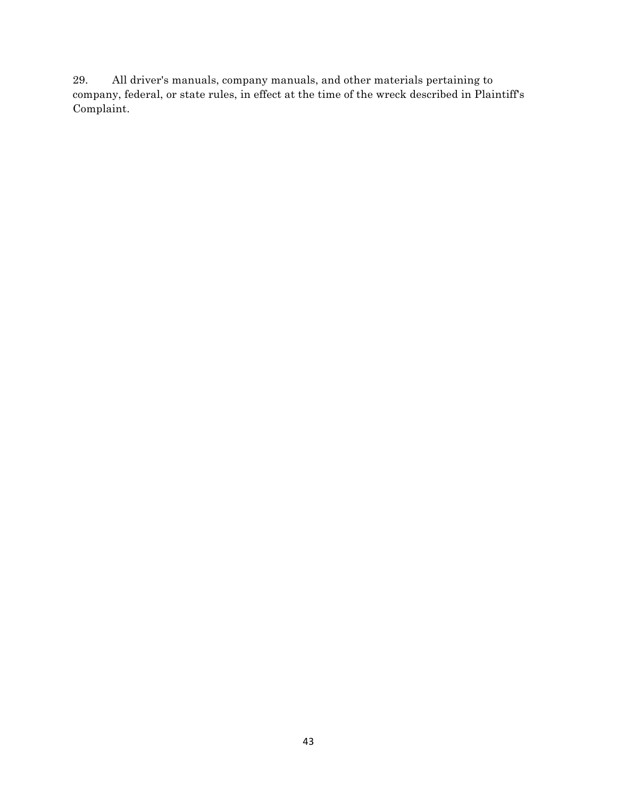29. All driver's manuals, company manuals, and other materials pertaining to company, federal, or state rules, in effect at the time of the wreck described in Plaintiff's Complaint.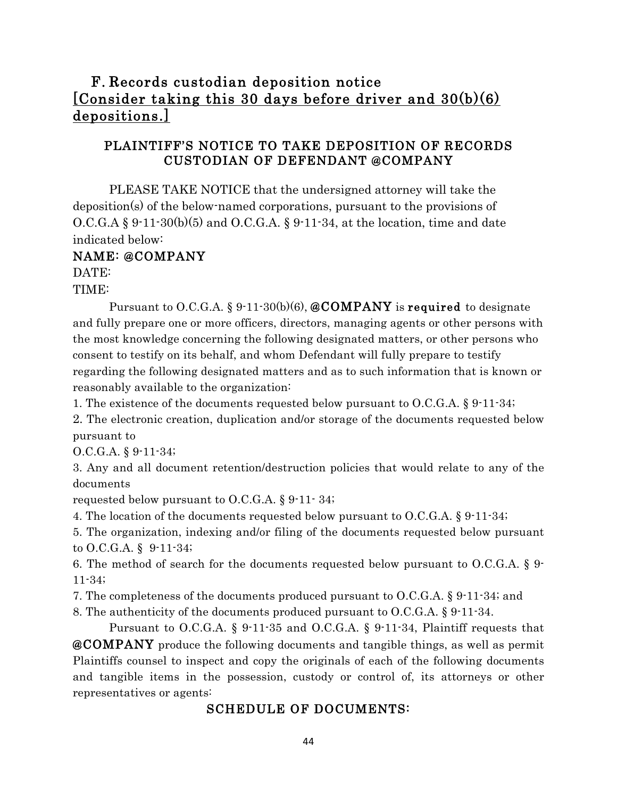# F. Records custodian deposition notice [Consider taking this 30 days before driver and 30(b)(6) depositions.]

### PLAINTIFF'S NOTICE TO TAKE DEPOSITION OF RECORDS CUSTODIAN OF DEFENDANT @COMPANY

PLEASE TAKE NOTICE that the undersigned attorney will take the deposition(s) of the below-named corporations, pursuant to the provisions of  $O.C.G.A$  § 9-11-30(b)(5) and  $O.C.G.A$ . § 9-11-34, at the location, time and date indicated below:

### NAME: @COMPANY

DATE:

TIME:

Pursuant to O.C.G.A. § 9.11.30(b)(6),  $\&COMPANY$  is required to designate and fully prepare one or more officers, directors, managing agents or other persons with the most knowledge concerning the following designated matters, or other persons who consent to testify on its behalf, and whom Defendant will fully prepare to testify regarding the following designated matters and as to such information that is known or reasonably available to the organization:

1. The existence of the documents requested below pursuant to O.C.G.A. § 9-11-34;

2. The electronic creation, duplication and/or storage of the documents requested below pursuant to

O.C.G.A. § 9-11-34;

3. Any and all document retention/destruction policies that would relate to any of the documents

requested below pursuant to O.C.G.A. § 9-11- 34;

4. The location of the documents requested below pursuant to O.C.G.A. § 9-11-34;

5. The organization, indexing and/or filing of the documents requested below pursuant to O.C.G.A. § 9-11-34;

6. The method of search for the documents requested below pursuant to O.C.G.A. § 9- 11-34;

7. The completeness of the documents produced pursuant to O.C.G.A. § 9-11-34; and

8. The authenticity of the documents produced pursuant to O.C.G.A. § 9-11-34.

Pursuant to O.C.G.A. § 9-11-35 and O.C.G.A. § 9-11-34, Plaintiff requests that @COMPANY produce the following documents and tangible things, as well as permit Plaintiffs counsel to inspect and copy the originals of each of the following documents and tangible items in the possession, custody or control of, its attorneys or other representatives or agents:

### SCHEDULE OF DOCUMENTS: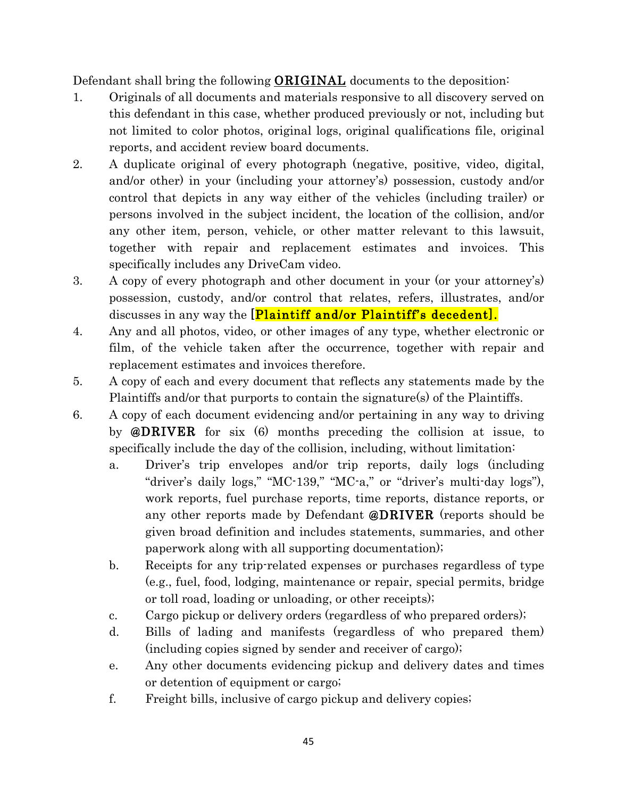Defendant shall bring the following ORIGINAL documents to the deposition:

- 1. Originals of all documents and materials responsive to all discovery served on this defendant in this case, whether produced previously or not, including but not limited to color photos, original logs, original qualifications file, original reports, and accident review board documents.
- 2. A duplicate original of every photograph (negative, positive, video, digital, and/or other) in your (including your attorney's) possession, custody and/or control that depicts in any way either of the vehicles (including trailer) or persons involved in the subject incident, the location of the collision, and/or any other item, person, vehicle, or other matter relevant to this lawsuit, together with repair and replacement estimates and invoices. This specifically includes any DriveCam video.
- 3. A copy of every photograph and other document in your (or your attorney's) possession, custody, and/or control that relates, refers, illustrates, and/or discusses in any way the [Plaintiff and/or Plaintiff's decedent].
- 4. Any and all photos, video, or other images of any type, whether electronic or film, of the vehicle taken after the occurrence, together with repair and replacement estimates and invoices therefore.
- 5. A copy of each and every document that reflects any statements made by the Plaintiffs and/or that purports to contain the signature(s) of the Plaintiffs.
- 6. A copy of each document evidencing and/or pertaining in any way to driving by @DRIVER for six (6) months preceding the collision at issue, to specifically include the day of the collision, including, without limitation:
	- a. Driver's trip envelopes and/or trip reports, daily logs (including "driver's daily logs," "MC-139," "MC-a," or "driver's multi-day logs"), work reports, fuel purchase reports, time reports, distance reports, or any other reports made by Defendant **@DRIVER** (reports should be given broad definition and includes statements, summaries, and other paperwork along with all supporting documentation);
	- b. Receipts for any trip-related expenses or purchases regardless of type (e.g., fuel, food, lodging, maintenance or repair, special permits, bridge or toll road, loading or unloading, or other receipts);
	- c. Cargo pickup or delivery orders (regardless of who prepared orders);
	- d. Bills of lading and manifests (regardless of who prepared them) (including copies signed by sender and receiver of cargo);
	- e. Any other documents evidencing pickup and delivery dates and times or detention of equipment or cargo;
	- f. Freight bills, inclusive of cargo pickup and delivery copies;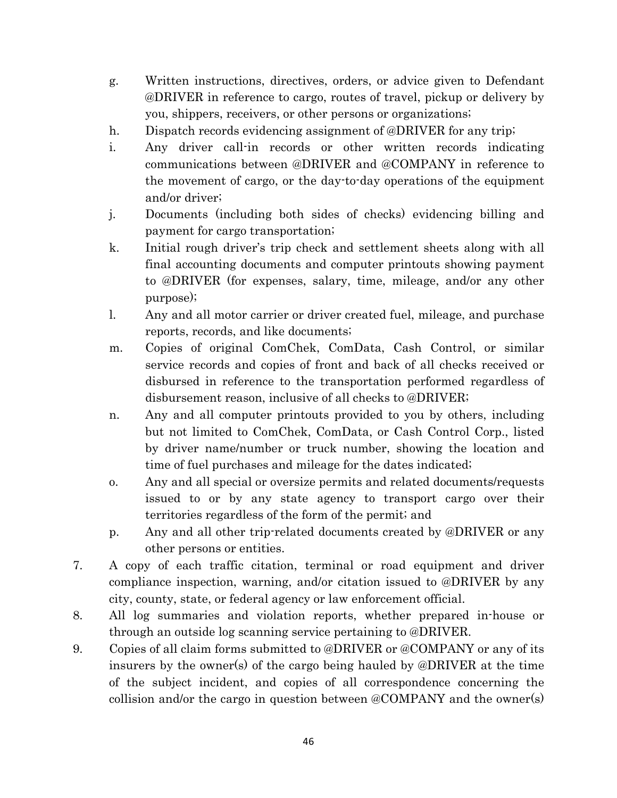- g. Written instructions, directives, orders, or advice given to Defendant @DRIVER in reference to cargo, routes of travel, pickup or delivery by you, shippers, receivers, or other persons or organizations;
- h. Dispatch records evidencing assignment of @DRIVER for any trip;
- i. Any driver call-in records or other written records indicating communications between @DRIVER and @COMPANY in reference to the movement of cargo, or the day-to-day operations of the equipment and/or driver;
- j. Documents (including both sides of checks) evidencing billing and payment for cargo transportation;
- k. Initial rough driver's trip check and settlement sheets along with all final accounting documents and computer printouts showing payment to @DRIVER (for expenses, salary, time, mileage, and/or any other purpose);
- l. Any and all motor carrier or driver created fuel, mileage, and purchase reports, records, and like documents;
- m. Copies of original ComChek, ComData, Cash Control, or similar service records and copies of front and back of all checks received or disbursed in reference to the transportation performed regardless of disbursement reason, inclusive of all checks to @DRIVER;
- n. Any and all computer printouts provided to you by others, including but not limited to ComChek, ComData, or Cash Control Corp., listed by driver name/number or truck number, showing the location and time of fuel purchases and mileage for the dates indicated;
- o. Any and all special or oversize permits and related documents/requests issued to or by any state agency to transport cargo over their territories regardless of the form of the permit; and
- p. Any and all other trip-related documents created by @DRIVER or any other persons or entities.
- 7. A copy of each traffic citation, terminal or road equipment and driver compliance inspection, warning, and/or citation issued to @DRIVER by any city, county, state, or federal agency or law enforcement official.
- 8. All log summaries and violation reports, whether prepared in-house or through an outside log scanning service pertaining to @DRIVER.
- 9. Copies of all claim forms submitted to @DRIVER or @COMPANY or any of its insurers by the owner(s) of the cargo being hauled by @DRIVER at the time of the subject incident, and copies of all correspondence concerning the collision and/or the cargo in question between @COMPANY and the owner(s)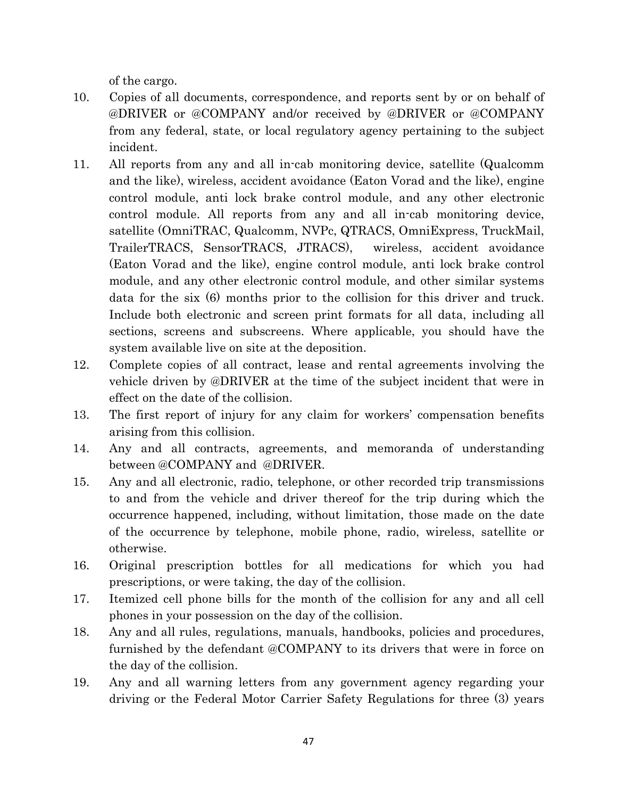of the cargo.

- 10. Copies of all documents, correspondence, and reports sent by or on behalf of @DRIVER or @COMPANY and/or received by @DRIVER or @COMPANY from any federal, state, or local regulatory agency pertaining to the subject incident.
- 11. All reports from any and all in-cab monitoring device, satellite (Qualcomm and the like), wireless, accident avoidance (Eaton Vorad and the like), engine control module, anti lock brake control module, and any other electronic control module. All reports from any and all in-cab monitoring device, satellite (OmniTRAC, Qualcomm, NVPc, QTRACS, OmniExpress, TruckMail, TrailerTRACS, SensorTRACS, JTRACS), wireless, accident avoidance (Eaton Vorad and the like), engine control module, anti lock brake control module, and any other electronic control module, and other similar systems data for the six (6) months prior to the collision for this driver and truck. Include both electronic and screen print formats for all data, including all sections, screens and subscreens. Where applicable, you should have the system available live on site at the deposition.
- 12. Complete copies of all contract, lease and rental agreements involving the vehicle driven by @DRIVER at the time of the subject incident that were in effect on the date of the collision.
- 13. The first report of injury for any claim for workers' compensation benefits arising from this collision.
- 14. Any and all contracts, agreements, and memoranda of understanding between @COMPANY and @DRIVER.
- 15. Any and all electronic, radio, telephone, or other recorded trip transmissions to and from the vehicle and driver thereof for the trip during which the occurrence happened, including, without limitation, those made on the date of the occurrence by telephone, mobile phone, radio, wireless, satellite or otherwise.
- 16. Original prescription bottles for all medications for which you had prescriptions, or were taking, the day of the collision.
- 17. Itemized cell phone bills for the month of the collision for any and all cell phones in your possession on the day of the collision.
- 18. Any and all rules, regulations, manuals, handbooks, policies and procedures, furnished by the defendant @COMPANY to its drivers that were in force on the day of the collision.
- 19. Any and all warning letters from any government agency regarding your driving or the Federal Motor Carrier Safety Regulations for three (3) years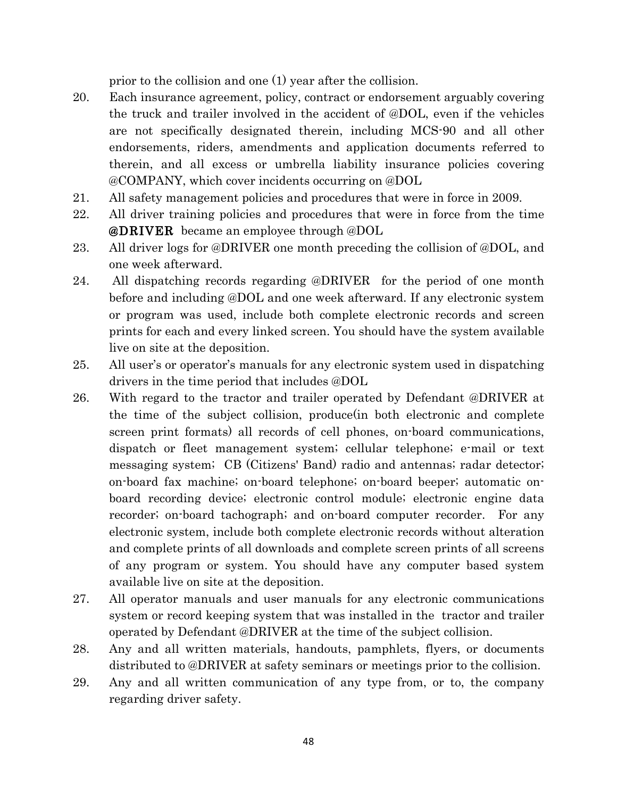prior to the collision and one (1) year after the collision.

- 20. Each insurance agreement, policy, contract or endorsement arguably covering the truck and trailer involved in the accident of @DOL, even if the vehicles are not specifically designated therein, including MCS-90 and all other endorsements, riders, amendments and application documents referred to therein, and all excess or umbrella liability insurance policies covering @COMPANY, which cover incidents occurring on @DOL
- 21. All safety management policies and procedures that were in force in 2009.
- 22. All driver training policies and procedures that were in force from the time @DRIVER became an employee through @DOL
- 23. All driver logs for @DRIVER one month preceding the collision of @DOL, and one week afterward.
- 24. All dispatching records regarding @DRIVER for the period of one month before and including @DOL and one week afterward. If any electronic system or program was used, include both complete electronic records and screen prints for each and every linked screen. You should have the system available live on site at the deposition.
- 25. All user's or operator's manuals for any electronic system used in dispatching drivers in the time period that includes @DOL
- 26. With regard to the tractor and trailer operated by Defendant @DRIVER at the time of the subject collision, produce(in both electronic and complete screen print formats) all records of cell phones, on-board communications, dispatch or fleet management system; cellular telephone; e-mail or text messaging system; CB (Citizens' Band) radio and antennas; radar detector; on-board fax machine; on-board telephone; on-board beeper; automatic onboard recording device; electronic control module; electronic engine data recorder; on-board tachograph; and on-board computer recorder. For any electronic system, include both complete electronic records without alteration and complete prints of all downloads and complete screen prints of all screens of any program or system. You should have any computer based system available live on site at the deposition.
- 27. All operator manuals and user manuals for any electronic communications system or record keeping system that was installed in the tractor and trailer operated by Defendant @DRIVER at the time of the subject collision.
- 28. Any and all written materials, handouts, pamphlets, flyers, or documents distributed to @DRIVER at safety seminars or meetings prior to the collision.
- 29. Any and all written communication of any type from, or to, the company regarding driver safety.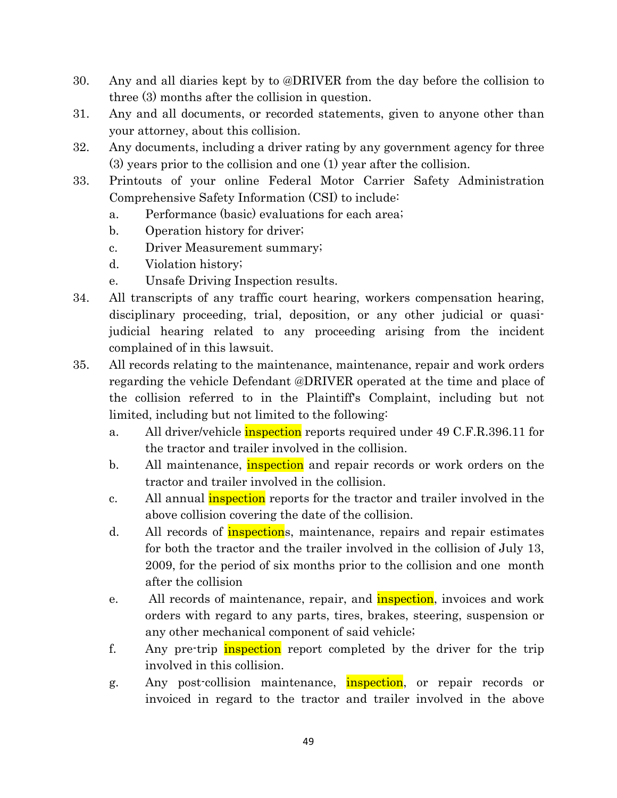- 30. Any and all diaries kept by to @DRIVER from the day before the collision to three (3) months after the collision in question.
- 31. Any and all documents, or recorded statements, given to anyone other than your attorney, about this collision.
- 32. Any documents, including a driver rating by any government agency for three (3) years prior to the collision and one (1) year after the collision.
- 33. Printouts of your online Federal Motor Carrier Safety Administration Comprehensive Safety Information (CSI) to include:
	- a. Performance (basic) evaluations for each area;
	- b. Operation history for driver;
	- c. Driver Measurement summary;
	- d. Violation history;
	- e. Unsafe Driving Inspection results.
- 34. All transcripts of any traffic court hearing, workers compensation hearing, disciplinary proceeding, trial, deposition, or any other judicial or quasijudicial hearing related to any proceeding arising from the incident complained of in this lawsuit.
- 35. All records relating to the maintenance, maintenance, repair and work orders regarding the vehicle Defendant @DRIVER operated at the time and place of the collision referred to in the Plaintiff's Complaint, including but not limited, including but not limited to the following:
	- a. All driver/vehicle *inspection* reports required under 49 C.F.R.396.11 for the tractor and trailer involved in the collision.
	- b. All maintenance, inspection and repair records or work orders on the tractor and trailer involved in the collision.
	- c. All annual *inspection* reports for the tractor and trailer involved in the above collision covering the date of the collision.
	- d. All records of *inspections*, maintenance, repairs and repair estimates for both the tractor and the trailer involved in the collision of July 13, 2009, for the period of six months prior to the collision and one month after the collision
	- e. All records of maintenance, repair, and **inspection**, invoices and work orders with regard to any parts, tires, brakes, steering, suspension or any other mechanical component of said vehicle;
	- f. Any pre-trip inspection report completed by the driver for the trip involved in this collision.
	- g. Any post-collision maintenance, **inspection**, or repair records or invoiced in regard to the tractor and trailer involved in the above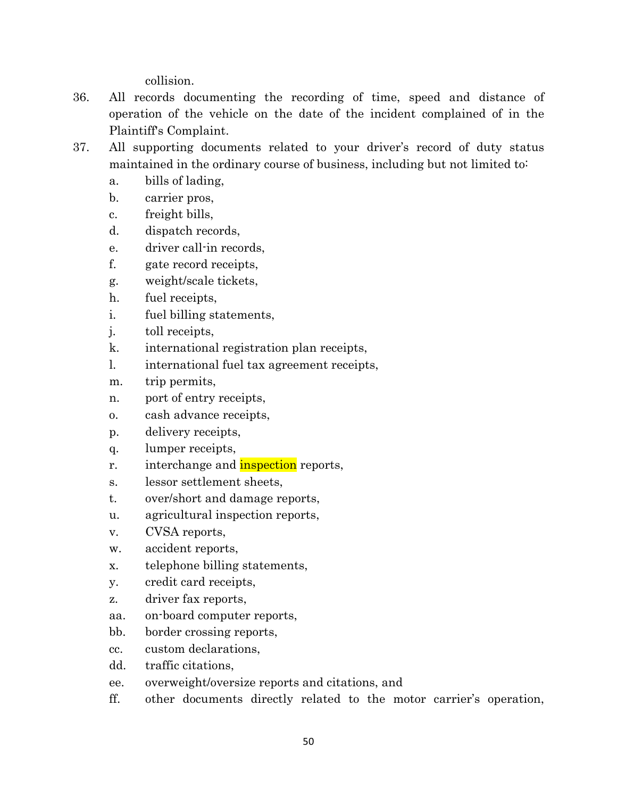collision.

- 36. All records documenting the recording of time, speed and distance of operation of the vehicle on the date of the incident complained of in the Plaintiff's Complaint.
- 37. All supporting documents related to your driver's record of duty status maintained in the ordinary course of business, including but not limited to:
	- a. bills of lading,
	- b. carrier pros,
	- c. freight bills,
	- d. dispatch records,
	- e. driver call-in records,
	- f. gate record receipts,
	- g. weight/scale tickets,
	- h. fuel receipts,
	- i. fuel billing statements,
	- j. toll receipts,
	- k. international registration plan receipts,
	- l. international fuel tax agreement receipts,
	- m. trip permits,
	- n. port of entry receipts,
	- o. cash advance receipts,
	- p. delivery receipts,
	- q. lumper receipts,
	- r. interchange and **inspection** reports,
	- s. lessor settlement sheets,
	- t. over/short and damage reports,
	- u. agricultural inspection reports,
	- v. CVSA reports,
	- w. accident reports,
	- x. telephone billing statements,
	- y. credit card receipts,
	- z. driver fax reports,
	- aa. on-board computer reports,
	- bb. border crossing reports,
	- cc. custom declarations,
	- dd. traffic citations,
	- ee. overweight/oversize reports and citations, and
	- ff. other documents directly related to the motor carrier's operation,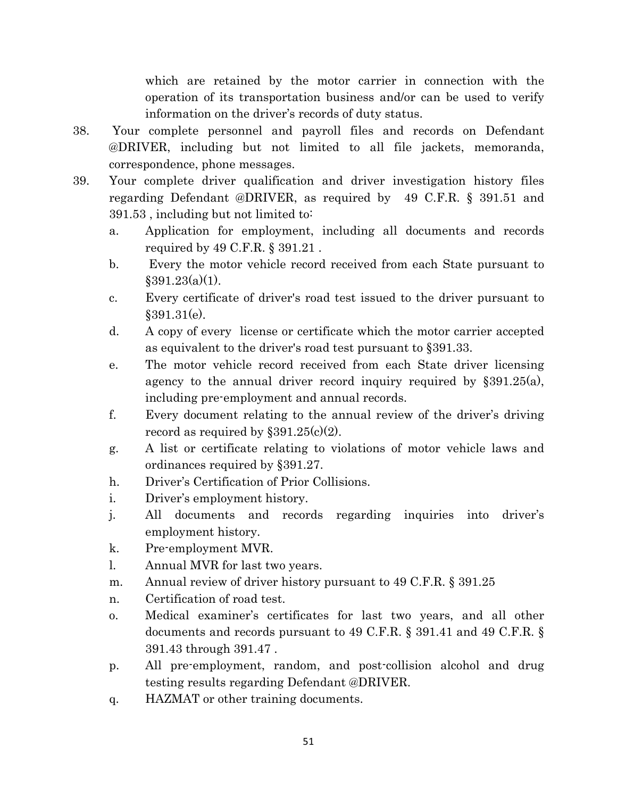which are retained by the motor carrier in connection with the operation of its transportation business and/or can be used to verify information on the driver's records of duty status.

- 38. Your complete personnel and payroll files and records on Defendant @DRIVER, including but not limited to all file jackets, memoranda, correspondence, phone messages.
- 39. Your complete driver qualification and driver investigation history files regarding Defendant @DRIVER, as required by 49 C.F.R. § 391.51 and 391.53 , including but not limited to:
	- a. Application for employment, including all documents and records required by 49 C.F.R. § 391.21 .
	- b. Every the motor vehicle record received from each State pursuant to  $$391.23(a)(1)$ .
	- c. Every certificate of driver's road test issued to the driver pursuant to  $§391.31(e).$
	- d. A copy of every license or certificate which the motor carrier accepted as equivalent to the driver's road test pursuant to §391.33.
	- e. The motor vehicle record received from each State driver licensing agency to the annual driver record inquiry required by §391.25(a), including pre-employment and annual records.
	- f. Every document relating to the annual review of the driver's driving record as required by  $\S 391.25(c)(2)$ .
	- g. A list or certificate relating to violations of motor vehicle laws and ordinances required by §391.27.
	- h. Driver's Certification of Prior Collisions.
	- i. Driver's employment history.
	- j. All documents and records regarding inquiries into driver's employment history.
	- k. Pre-employment MVR.
	- l. Annual MVR for last two years.
	- m. Annual review of driver history pursuant to 49 C.F.R. § 391.25
	- n. Certification of road test.
	- o. Medical examiner's certificates for last two years, and all other documents and records pursuant to 49 C.F.R. § 391.41 and 49 C.F.R. § 391.43 through 391.47 .
	- p. All pre-employment, random, and post-collision alcohol and drug testing results regarding Defendant @DRIVER.
	- q. HAZMAT or other training documents.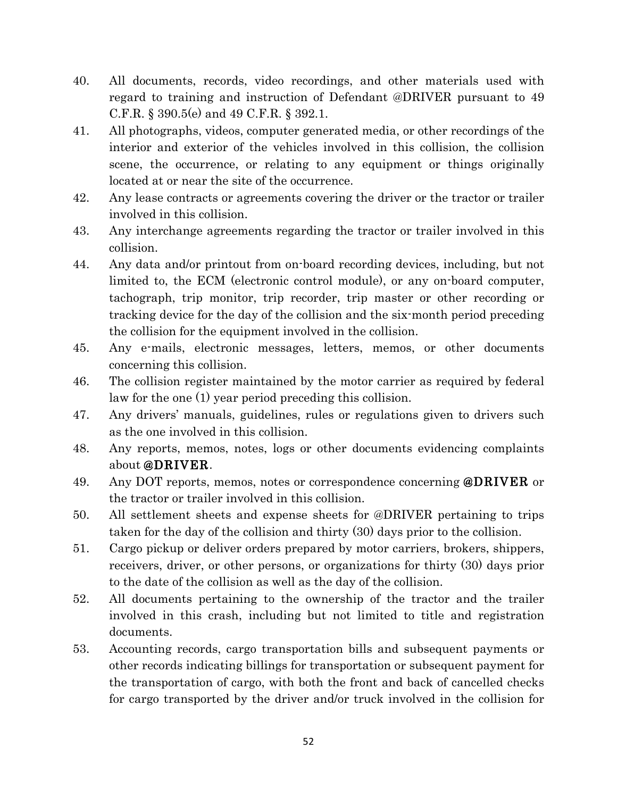- 40. All documents, records, video recordings, and other materials used with regard to training and instruction of Defendant @DRIVER pursuant to 49 C.F.R. § 390.5(e) and 49 C.F.R. § 392.1.
- 41. All photographs, videos, computer generated media, or other recordings of the interior and exterior of the vehicles involved in this collision, the collision scene, the occurrence, or relating to any equipment or things originally located at or near the site of the occurrence.
- 42. Any lease contracts or agreements covering the driver or the tractor or trailer involved in this collision.
- 43. Any interchange agreements regarding the tractor or trailer involved in this collision.
- 44. Any data and/or printout from on-board recording devices, including, but not limited to, the ECM (electronic control module), or any on-board computer, tachograph, trip monitor, trip recorder, trip master or other recording or tracking device for the day of the collision and the six-month period preceding the collision for the equipment involved in the collision.
- 45. Any e-mails, electronic messages, letters, memos, or other documents concerning this collision.
- 46. The collision register maintained by the motor carrier as required by federal law for the one (1) year period preceding this collision.
- 47. Any drivers' manuals, guidelines, rules or regulations given to drivers such as the one involved in this collision.
- 48. Any reports, memos, notes, logs or other documents evidencing complaints about @DRIVER.
- 49. Any DOT reports, memos, notes or correspondence concerning **@DRIVER** or the tractor or trailer involved in this collision.
- 50. All settlement sheets and expense sheets for @DRIVER pertaining to trips taken for the day of the collision and thirty (30) days prior to the collision.
- 51. Cargo pickup or deliver orders prepared by motor carriers, brokers, shippers, receivers, driver, or other persons, or organizations for thirty (30) days prior to the date of the collision as well as the day of the collision.
- 52. All documents pertaining to the ownership of the tractor and the trailer involved in this crash, including but not limited to title and registration documents.
- 53. Accounting records, cargo transportation bills and subsequent payments or other records indicating billings for transportation or subsequent payment for the transportation of cargo, with both the front and back of cancelled checks for cargo transported by the driver and/or truck involved in the collision for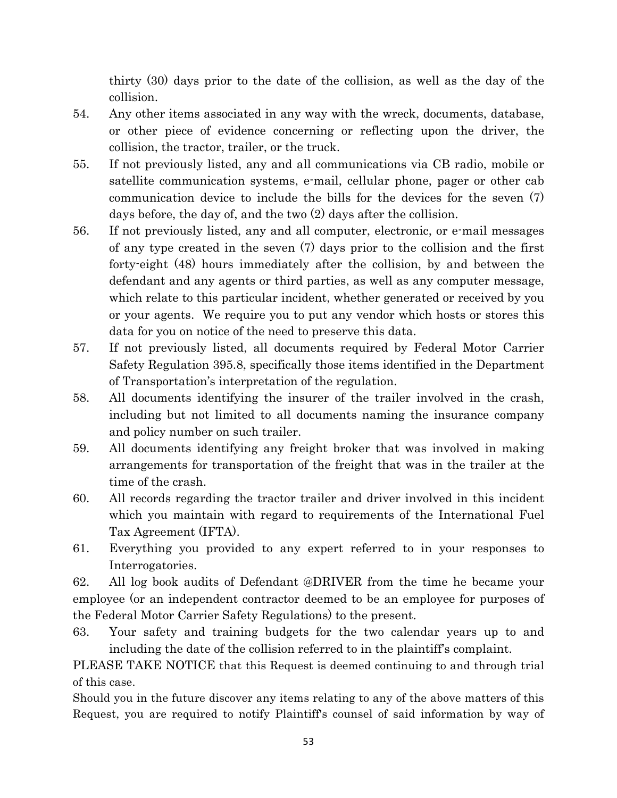thirty (30) days prior to the date of the collision, as well as the day of the collision.

- 54. Any other items associated in any way with the wreck, documents, database, or other piece of evidence concerning or reflecting upon the driver, the collision, the tractor, trailer, or the truck.
- 55. If not previously listed, any and all communications via CB radio, mobile or satellite communication systems, e-mail, cellular phone, pager or other cab communication device to include the bills for the devices for the seven (7) days before, the day of, and the two (2) days after the collision.
- 56. If not previously listed, any and all computer, electronic, or e-mail messages of any type created in the seven (7) days prior to the collision and the first forty-eight (48) hours immediately after the collision, by and between the defendant and any agents or third parties, as well as any computer message, which relate to this particular incident, whether generated or received by you or your agents. We require you to put any vendor which hosts or stores this data for you on notice of the need to preserve this data.
- 57. If not previously listed, all documents required by Federal Motor Carrier Safety Regulation 395.8, specifically those items identified in the Department of Transportation's interpretation of the regulation.
- 58. All documents identifying the insurer of the trailer involved in the crash, including but not limited to all documents naming the insurance company and policy number on such trailer.
- 59. All documents identifying any freight broker that was involved in making arrangements for transportation of the freight that was in the trailer at the time of the crash.
- 60. All records regarding the tractor trailer and driver involved in this incident which you maintain with regard to requirements of the International Fuel Tax Agreement (IFTA).
- 61. Everything you provided to any expert referred to in your responses to Interrogatories.

62. All log book audits of Defendant @DRIVER from the time he became your employee (or an independent contractor deemed to be an employee for purposes of the Federal Motor Carrier Safety Regulations) to the present.

63. Your safety and training budgets for the two calendar years up to and including the date of the collision referred to in the plaintiff's complaint.

PLEASE TAKE NOTICE that this Request is deemed continuing to and through trial of this case.

Should you in the future discover any items relating to any of the above matters of this Request, you are required to notify Plaintiff's counsel of said information by way of